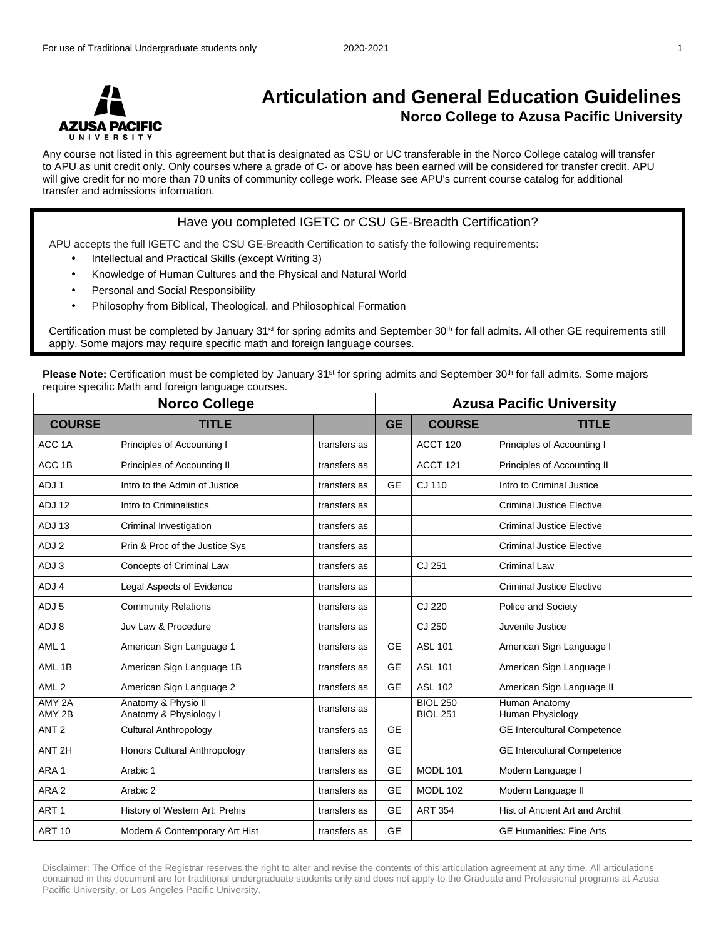

## **Articulation and General Education Guidelines Norco College to Azusa Pacific University**

Any course not listed in this agreement but that is designated as CSU or UC transferable in the Norco College catalog will transfer to APU as unit credit only. Only courses where a grade of C- or above has been earned will be considered for transfer credit. APU will give credit for no more than 70 units of community college work. Please see APU's current course catalog for additional transfer and admissions information.

## Have you completed IGETC or CSU GE-Breadth Certification?

APU accepts the full IGETC and the CSU GE-Breadth Certification to satisfy the following requirements:

- Intellectual and Practical Skills (except Writing 3)
- Knowledge of Human Cultures and the Physical and Natural World
- Personal and Social Responsibility
- Philosophy from Biblical, Theological, and Philosophical Formation

Certification must be completed by January 31st for spring admits and September 30th for fall admits. All other GE requirements still apply. Some majors may require specific math and foreign language courses.

**Please Note:** Certification must be completed by January 31<sup>st</sup> for spring admits and September 30<sup>th</sup> for fall admits. Some majors require specific Math and foreign language courses.

| <b>Norco College</b> |                                               |              | <b>Azusa Pacific University</b> |                                    |                                    |  |
|----------------------|-----------------------------------------------|--------------|---------------------------------|------------------------------------|------------------------------------|--|
| <b>COURSE</b>        | <b>TITLE</b>                                  |              | <b>GE</b>                       | <b>COURSE</b>                      | <b>TITLE</b>                       |  |
| ACC <sub>1</sub> A   | Principles of Accounting I                    | transfers as |                                 | ACCT 120                           | Principles of Accounting I         |  |
| ACC <sub>1B</sub>    | Principles of Accounting II                   | transfers as |                                 | ACCT <sub>121</sub>                | Principles of Accounting II        |  |
| ADJ1                 | Intro to the Admin of Justice                 | transfers as | <b>GE</b>                       | CJ 110                             | Intro to Criminal Justice          |  |
| ADJ 12               | Intro to Criminalistics                       | transfers as |                                 |                                    | <b>Criminal Justice Elective</b>   |  |
| ADJ 13               | Criminal Investigation                        | transfers as |                                 |                                    | <b>Criminal Justice Elective</b>   |  |
| ADJ 2                | Prin & Proc of the Justice Sys                | transfers as |                                 |                                    | <b>Criminal Justice Elective</b>   |  |
| ADJ 3                | <b>Concepts of Criminal Law</b>               | transfers as |                                 | CJ 251                             | <b>Criminal Law</b>                |  |
| ADJ 4                | Legal Aspects of Evidence                     | transfers as |                                 |                                    | <b>Criminal Justice Elective</b>   |  |
| ADJ 5                | <b>Community Relations</b>                    | transfers as |                                 | CJ 220                             | Police and Society                 |  |
| ADJ 8                | Juv Law & Procedure                           | transfers as |                                 | CJ 250                             | Juvenile Justice                   |  |
| AML <sub>1</sub>     | American Sign Language 1                      | transfers as | <b>GE</b>                       | <b>ASL 101</b>                     | American Sign Language I           |  |
| AML <sub>1B</sub>    | American Sign Language 1B                     | transfers as | <b>GE</b>                       | <b>ASL 101</b>                     | American Sign Language I           |  |
| AML <sub>2</sub>     | American Sign Language 2                      | transfers as | <b>GE</b>                       | <b>ASL 102</b>                     | American Sign Language II          |  |
| AMY 2A<br>AMY 2B     | Anatomy & Physio II<br>Anatomy & Physiology I | transfers as |                                 | <b>BIOL 250</b><br><b>BIOL 251</b> | Human Anatomy<br>Human Physiology  |  |
| ANT <sub>2</sub>     | <b>Cultural Anthropology</b>                  | transfers as | <b>GE</b>                       |                                    | <b>GE Intercultural Competence</b> |  |
| ANT <sub>2H</sub>    | Honors Cultural Anthropology                  | transfers as | <b>GE</b>                       |                                    | <b>GE Intercultural Competence</b> |  |
| ARA <sub>1</sub>     | Arabic 1                                      | transfers as | <b>GE</b>                       | <b>MODL 101</b>                    | Modern Language I                  |  |
| ARA <sub>2</sub>     | Arabic 2                                      | transfers as | <b>GE</b>                       | <b>MODL 102</b>                    | Modern Language II                 |  |
| ART <sub>1</sub>     | History of Western Art: Prehis                | transfers as | <b>GE</b>                       | <b>ART 354</b>                     | Hist of Ancient Art and Archit     |  |
| <b>ART 10</b>        | Modern & Contemporary Art Hist                | transfers as | <b>GE</b>                       |                                    | <b>GE Humanities: Fine Arts</b>    |  |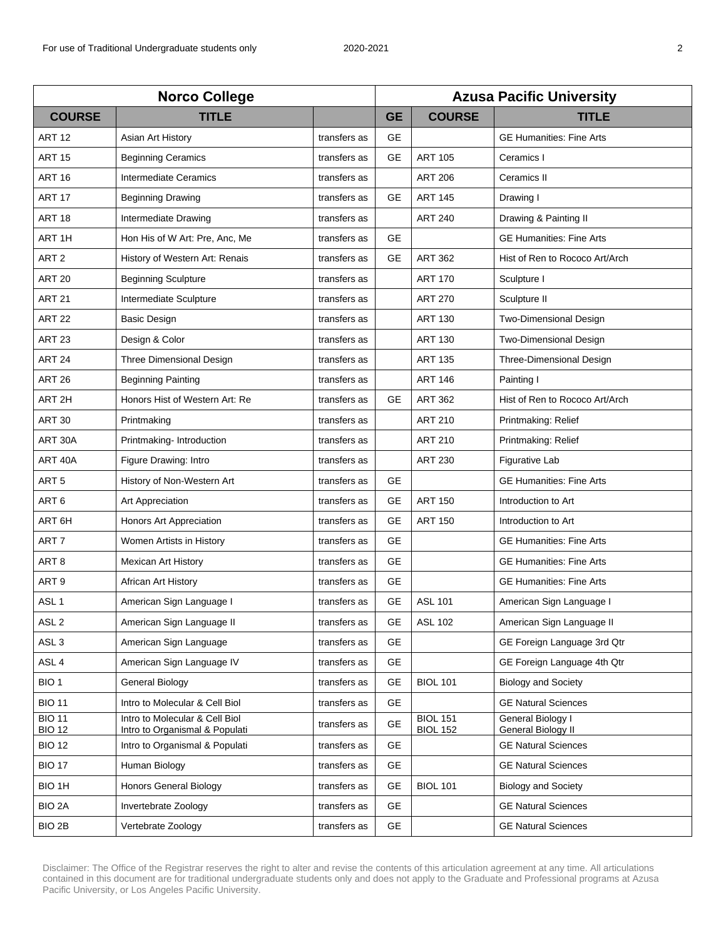| <b>Norco College</b>           |                                                                  |              | <b>Azusa Pacific University</b> |                                    |                                         |  |
|--------------------------------|------------------------------------------------------------------|--------------|---------------------------------|------------------------------------|-----------------------------------------|--|
| <b>COURSE</b>                  | <b>TITLE</b>                                                     |              | <b>GE</b>                       | <b>COURSE</b>                      | <b>TITLE</b>                            |  |
| <b>ART 12</b>                  | Asian Art History                                                | transfers as | <b>GE</b>                       |                                    | <b>GE Humanities: Fine Arts</b>         |  |
| <b>ART 15</b>                  | <b>Beginning Ceramics</b>                                        | transfers as | <b>GE</b>                       | <b>ART 105</b>                     | Ceramics I                              |  |
| <b>ART 16</b>                  | Intermediate Ceramics                                            | transfers as |                                 | <b>ART 206</b>                     | Ceramics II                             |  |
| <b>ART 17</b>                  | <b>Beginning Drawing</b>                                         | transfers as | <b>GE</b>                       | <b>ART 145</b>                     | Drawing I                               |  |
| <b>ART 18</b>                  | Intermediate Drawing                                             | transfers as |                                 | <b>ART 240</b>                     | Drawing & Painting II                   |  |
| ART <sub>1H</sub>              | Hon His of W Art: Pre, Anc, Me                                   | transfers as | <b>GE</b>                       |                                    | <b>GE Humanities: Fine Arts</b>         |  |
| ART <sub>2</sub>               | History of Western Art: Renais                                   | transfers as | GE                              | <b>ART 362</b>                     | Hist of Ren to Rococo Art/Arch          |  |
| <b>ART 20</b>                  | <b>Beginning Sculpture</b>                                       | transfers as |                                 | <b>ART 170</b>                     | Sculpture I                             |  |
| <b>ART 21</b>                  | Intermediate Sculpture                                           | transfers as |                                 | <b>ART 270</b>                     | Sculpture II                            |  |
| <b>ART 22</b>                  | <b>Basic Design</b>                                              | transfers as |                                 | <b>ART 130</b>                     | <b>Two-Dimensional Design</b>           |  |
| <b>ART 23</b>                  | Design & Color                                                   | transfers as |                                 | <b>ART 130</b>                     | <b>Two-Dimensional Design</b>           |  |
| <b>ART 24</b>                  | Three Dimensional Design                                         | transfers as |                                 | <b>ART 135</b>                     | Three-Dimensional Design                |  |
| <b>ART 26</b>                  | <b>Beginning Painting</b>                                        | transfers as |                                 | <b>ART 146</b>                     | Painting I                              |  |
| ART <sub>2H</sub>              | Honors Hist of Western Art: Re                                   | transfers as | <b>GE</b>                       | <b>ART 362</b>                     | Hist of Ren to Rococo Art/Arch          |  |
| <b>ART 30</b>                  | Printmaking                                                      | transfers as |                                 | <b>ART 210</b>                     | Printmaking: Relief                     |  |
| ART 30A                        | Printmaking- Introduction                                        | transfers as |                                 | <b>ART 210</b>                     | Printmaking: Relief                     |  |
| ART 40A                        | Figure Drawing: Intro                                            | transfers as |                                 | <b>ART 230</b>                     | <b>Figurative Lab</b>                   |  |
| ART <sub>5</sub>               | History of Non-Western Art                                       | transfers as | <b>GE</b>                       |                                    | <b>GE Humanities: Fine Arts</b>         |  |
| ART <sub>6</sub>               | Art Appreciation                                                 | transfers as | <b>GE</b>                       | <b>ART 150</b>                     | Introduction to Art                     |  |
| ART 6H                         | Honors Art Appreciation                                          | transfers as | <b>GE</b>                       | <b>ART 150</b>                     | Introduction to Art                     |  |
| ART <sub>7</sub>               | Women Artists in History                                         | transfers as | <b>GE</b>                       |                                    | <b>GE Humanities: Fine Arts</b>         |  |
| ART 8                          | <b>Mexican Art History</b>                                       | transfers as | <b>GE</b>                       |                                    | <b>GE Humanities: Fine Arts</b>         |  |
| ART <sub>9</sub>               | African Art History                                              | transfers as | <b>GE</b>                       |                                    | <b>GE Humanities: Fine Arts</b>         |  |
| ASL <sub>1</sub>               | American Sign Language I                                         | transfers as | <b>GE</b>                       | <b>ASL 101</b>                     | American Sign Language I                |  |
| ASL <sub>2</sub>               | American Sign Language II                                        | transfers as | GE                              | <b>ASL 102</b>                     | American Sign Language II               |  |
| ASL <sub>3</sub>               | American Sign Language                                           | transfers as | <b>GE</b>                       |                                    | GE Foreign Language 3rd Qtr             |  |
| ASL <sub>4</sub>               | American Sign Language IV                                        | transfers as | <b>GE</b>                       |                                    | GE Foreign Language 4th Qtr             |  |
| BIO <sub>1</sub>               | General Biology                                                  | transfers as | <b>GE</b>                       | <b>BIOL 101</b>                    | <b>Biology and Society</b>              |  |
| <b>BIO 11</b>                  | Intro to Molecular & Cell Biol                                   | transfers as | <b>GE</b>                       |                                    | <b>GE Natural Sciences</b>              |  |
| <b>BIO 11</b><br><b>BIO 12</b> | Intro to Molecular & Cell Biol<br>Intro to Organismal & Populati | transfers as | <b>GE</b>                       | <b>BIOL 151</b><br><b>BIOL 152</b> | General Biology I<br>General Biology II |  |
| <b>BIO 12</b>                  | Intro to Organismal & Populati                                   | transfers as | <b>GE</b>                       |                                    | <b>GE Natural Sciences</b>              |  |
| <b>BIO 17</b>                  | Human Biology                                                    | transfers as | <b>GE</b>                       |                                    | <b>GE Natural Sciences</b>              |  |
| BIO 1H                         | <b>Honors General Biology</b>                                    | transfers as | <b>GE</b>                       | <b>BIOL 101</b>                    | <b>Biology and Society</b>              |  |
| BIO <sub>2</sub> A             | Invertebrate Zoology                                             | transfers as | <b>GE</b>                       |                                    | <b>GE Natural Sciences</b>              |  |
| BIO 2B                         | Vertebrate Zoology                                               | transfers as | <b>GE</b>                       |                                    | <b>GE Natural Sciences</b>              |  |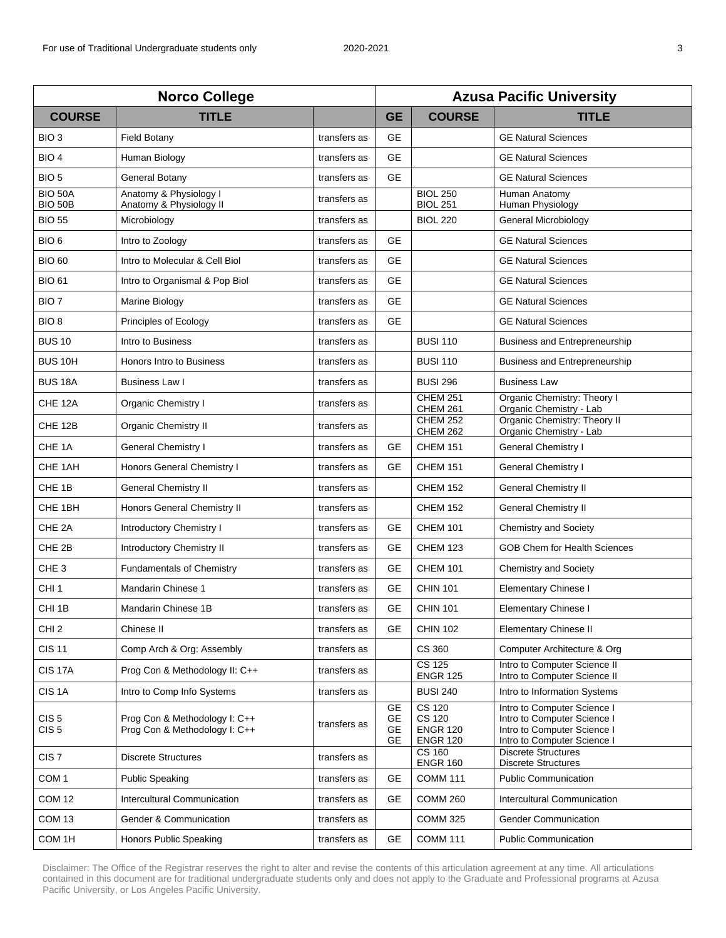| <b>Norco College</b>                 |                                                                |              | <b>Azusa Pacific University</b>    |                                                                      |                                                                                                                          |  |
|--------------------------------------|----------------------------------------------------------------|--------------|------------------------------------|----------------------------------------------------------------------|--------------------------------------------------------------------------------------------------------------------------|--|
| <b>COURSE</b>                        | <b>TITLE</b>                                                   |              | <b>GE</b>                          | <b>COURSE</b>                                                        | <b>TITLE</b>                                                                                                             |  |
| BIO <sub>3</sub>                     | <b>Field Botany</b>                                            | transfers as | <b>GE</b>                          |                                                                      | <b>GE Natural Sciences</b>                                                                                               |  |
| BIO <sub>4</sub>                     | Human Biology                                                  | transfers as | <b>GE</b>                          |                                                                      | <b>GE Natural Sciences</b>                                                                                               |  |
| BIO <sub>5</sub>                     | General Botany                                                 | transfers as | <b>GE</b>                          |                                                                      | <b>GE Natural Sciences</b>                                                                                               |  |
| <b>BIO 50A</b><br><b>BIO 50B</b>     | Anatomy & Physiology I<br>Anatomy & Physiology II              | transfers as |                                    | <b>BIOL 250</b><br><b>BIOL 251</b>                                   | Human Anatomy<br>Human Physiology                                                                                        |  |
| <b>BIO 55</b>                        | Microbiology                                                   | transfers as |                                    | <b>BIOL 220</b>                                                      | General Microbiology                                                                                                     |  |
| BIO <sub>6</sub>                     | Intro to Zoology                                               | transfers as | <b>GE</b>                          |                                                                      | <b>GE Natural Sciences</b>                                                                                               |  |
| <b>BIO 60</b>                        | Intro to Molecular & Cell Biol                                 | transfers as | <b>GE</b>                          |                                                                      | <b>GE Natural Sciences</b>                                                                                               |  |
| <b>BIO 61</b>                        | Intro to Organismal & Pop Biol                                 | transfers as | <b>GE</b>                          |                                                                      | <b>GE Natural Sciences</b>                                                                                               |  |
| BIO <sub>7</sub>                     | Marine Biology                                                 | transfers as | <b>GE</b>                          |                                                                      | <b>GE Natural Sciences</b>                                                                                               |  |
| BIO <sub>8</sub>                     | Principles of Ecology                                          | transfers as | <b>GE</b>                          |                                                                      | <b>GE Natural Sciences</b>                                                                                               |  |
| <b>BUS 10</b>                        | Intro to Business                                              | transfers as |                                    | <b>BUSI 110</b>                                                      | Business and Entrepreneurship                                                                                            |  |
| BUS <sub>10H</sub>                   | <b>Honors Intro to Business</b>                                | transfers as |                                    | <b>BUSI 110</b>                                                      | Business and Entrepreneurship                                                                                            |  |
| <b>BUS 18A</b>                       | <b>Business Law I</b>                                          | transfers as |                                    | <b>BUSI 296</b>                                                      | <b>Business Law</b>                                                                                                      |  |
| CHE 12A                              | Organic Chemistry I                                            | transfers as |                                    | <b>CHEM 251</b><br><b>CHEM 261</b>                                   | Organic Chemistry: Theory I<br>Organic Chemistry - Lab                                                                   |  |
| CHE 12B                              | Organic Chemistry II                                           | transfers as |                                    | <b>CHEM 252</b><br><b>CHEM 262</b>                                   | Organic Chemistry: Theory II<br>Organic Chemistry - Lab                                                                  |  |
| CHE <sub>1A</sub>                    | <b>General Chemistry I</b>                                     | transfers as | <b>GE</b>                          | <b>CHEM 151</b>                                                      | <b>General Chemistry I</b>                                                                                               |  |
| CHE 1AH                              | Honors General Chemistry I                                     | transfers as | <b>GE</b>                          | <b>CHEM 151</b>                                                      | <b>General Chemistry I</b>                                                                                               |  |
| CHE <sub>1B</sub>                    | <b>General Chemistry II</b>                                    | transfers as |                                    | <b>CHEM 152</b>                                                      | <b>General Chemistry II</b>                                                                                              |  |
| CHE 1BH                              | Honors General Chemistry II                                    | transfers as |                                    | <b>CHEM 152</b>                                                      | <b>General Chemistry II</b>                                                                                              |  |
| CHE <sub>2A</sub>                    | <b>Introductory Chemistry I</b>                                | transfers as | <b>GE</b>                          | <b>CHEM 101</b>                                                      | <b>Chemistry and Society</b>                                                                                             |  |
| CHE 2B                               | <b>Introductory Chemistry II</b>                               | transfers as | <b>GE</b>                          | <b>CHEM 123</b>                                                      | <b>GOB Chem for Health Sciences</b>                                                                                      |  |
| CHE <sub>3</sub>                     | <b>Fundamentals of Chemistry</b>                               | transfers as | <b>GE</b>                          | <b>CHEM 101</b>                                                      | <b>Chemistry and Society</b>                                                                                             |  |
| CHI <sub>1</sub>                     | Mandarin Chinese 1                                             | transfers as | <b>GE</b>                          | <b>CHIN 101</b>                                                      | <b>Elementary Chinese I</b>                                                                                              |  |
| CHI <sub>1B</sub>                    | Mandarin Chinese 1B                                            | transfers as | <b>GE</b>                          | <b>CHIN 101</b>                                                      | <b>Elementary Chinese I</b>                                                                                              |  |
| CHI <sub>2</sub>                     | Chinese II                                                     | transfers as | GE                                 | <b>CHIN 102</b>                                                      | <b>Elementary Chinese II</b>                                                                                             |  |
| <b>CIS 11</b>                        | Comp Arch & Org: Assembly                                      | transfers as |                                    | CS 360                                                               | Computer Architecture & Org                                                                                              |  |
| <b>CIS 17A</b>                       | Prog Con & Methodology II: C++                                 | transfers as |                                    | <b>CS 125</b><br><b>ENGR 125</b>                                     | Intro to Computer Science II<br>Intro to Computer Science II                                                             |  |
| CIS <sub>1</sub> A                   | Intro to Comp Info Systems                                     | transfers as |                                    | <b>BUSI 240</b>                                                      | Intro to Information Systems                                                                                             |  |
| CIS <sub>5</sub><br>CIS <sub>5</sub> | Prog Con & Methodology I: C++<br>Prog Con & Methodology I: C++ | transfers as | <b>GE</b><br>GE<br>GE<br><b>GE</b> | <b>CS 120</b><br><b>CS 120</b><br><b>ENGR 120</b><br><b>ENGR 120</b> | Intro to Computer Science I<br>Intro to Computer Science I<br>Intro to Computer Science I<br>Intro to Computer Science I |  |
| CIS <sub>7</sub>                     | <b>Discrete Structures</b>                                     | transfers as |                                    | $CS$ 160<br><b>ENGR 160</b>                                          | <b>Discrete Structures</b><br><b>Discrete Structures</b>                                                                 |  |
| COM <sub>1</sub>                     | <b>Public Speaking</b>                                         | transfers as | <b>GE</b>                          | <b>COMM 111</b>                                                      | <b>Public Communication</b>                                                                                              |  |
| <b>COM 12</b>                        | <b>Intercultural Communication</b>                             | transfers as | <b>GE</b>                          | <b>COMM 260</b>                                                      | Intercultural Communication                                                                                              |  |
| COM 13                               | Gender & Communication                                         | transfers as |                                    | <b>COMM 325</b>                                                      | <b>Gender Communication</b>                                                                                              |  |
| COM 1H                               | Honors Public Speaking                                         | transfers as | <b>GE</b>                          | <b>COMM 111</b>                                                      | <b>Public Communication</b>                                                                                              |  |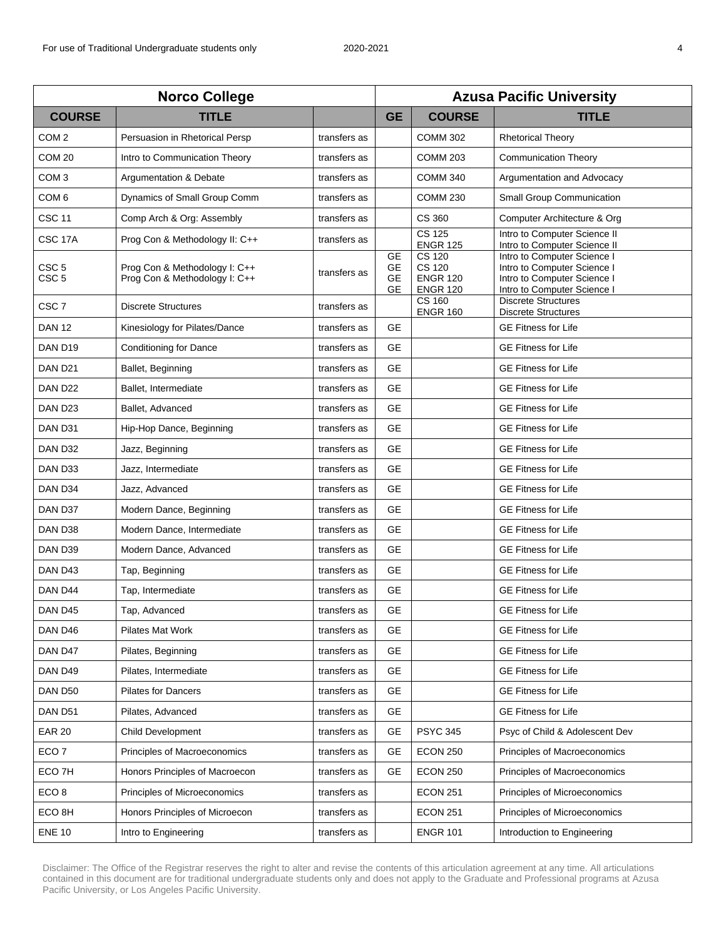| <b>Norco College</b>                 |                                                                |              | <b>Azusa Pacific University</b>           |                                                                      |                                                                                                                          |  |
|--------------------------------------|----------------------------------------------------------------|--------------|-------------------------------------------|----------------------------------------------------------------------|--------------------------------------------------------------------------------------------------------------------------|--|
| <b>COURSE</b>                        | <b>TITLE</b>                                                   |              | <b>GE</b>                                 | <b>COURSE</b>                                                        | <b>TITLE</b>                                                                                                             |  |
| COM <sub>2</sub>                     | Persuasion in Rhetorical Persp                                 | transfers as |                                           | <b>COMM 302</b>                                                      | <b>Rhetorical Theory</b>                                                                                                 |  |
| COM <sub>20</sub>                    | Intro to Communication Theory                                  | transfers as |                                           | <b>COMM 203</b>                                                      | <b>Communication Theory</b>                                                                                              |  |
| COM <sub>3</sub>                     | Argumentation & Debate                                         | transfers as |                                           | <b>COMM 340</b>                                                      | Argumentation and Advocacy                                                                                               |  |
| COM <sub>6</sub>                     | Dynamics of Small Group Comm                                   | transfers as |                                           | <b>COMM 230</b>                                                      | Small Group Communication                                                                                                |  |
| <b>CSC 11</b>                        | Comp Arch & Org: Assembly                                      | transfers as |                                           | CS 360                                                               | Computer Architecture & Org                                                                                              |  |
| CSC 17A                              | Prog Con & Methodology II: C++                                 | transfers as |                                           | <b>CS 125</b><br><b>ENGR 125</b>                                     | Intro to Computer Science II<br>Intro to Computer Science II                                                             |  |
| CSC <sub>5</sub><br>CSC <sub>5</sub> | Prog Con & Methodology I: C++<br>Prog Con & Methodology I: C++ | transfers as | <b>GE</b><br>GE<br><b>GE</b><br><b>GE</b> | <b>CS 120</b><br><b>CS 120</b><br><b>ENGR 120</b><br><b>ENGR 120</b> | Intro to Computer Science I<br>Intro to Computer Science I<br>Intro to Computer Science I<br>Intro to Computer Science I |  |
| CSC <sub>7</sub>                     | <b>Discrete Structures</b>                                     | transfers as |                                           | CS 160<br><b>ENGR 160</b>                                            | <b>Discrete Structures</b><br><b>Discrete Structures</b>                                                                 |  |
| <b>DAN 12</b>                        | Kinesiology for Pilates/Dance                                  | transfers as | <b>GE</b>                                 |                                                                      | <b>GE Fitness for Life</b>                                                                                               |  |
| DAN D19                              | <b>Conditioning for Dance</b>                                  | transfers as | <b>GE</b>                                 |                                                                      | <b>GE Fitness for Life</b>                                                                                               |  |
| DAN D21                              | Ballet, Beginning                                              | transfers as | <b>GE</b>                                 |                                                                      | <b>GE Fitness for Life</b>                                                                                               |  |
| DAN D <sub>22</sub>                  | Ballet. Intermediate                                           | transfers as | <b>GE</b>                                 |                                                                      | <b>GE Fitness for Life</b>                                                                                               |  |
| DAN D <sub>23</sub>                  | Ballet, Advanced                                               | transfers as | <b>GE</b>                                 |                                                                      | <b>GE Fitness for Life</b>                                                                                               |  |
| DAN D31                              | Hip-Hop Dance, Beginning                                       | transfers as | <b>GE</b>                                 |                                                                      | <b>GE Fitness for Life</b>                                                                                               |  |
| DAN D32                              | Jazz, Beginning                                                | transfers as | <b>GE</b>                                 |                                                                      | <b>GE Fitness for Life</b>                                                                                               |  |
| DAN D33                              | Jazz, Intermediate                                             | transfers as | <b>GE</b>                                 |                                                                      | <b>GE Fitness for Life</b>                                                                                               |  |
| DAN D34                              | Jazz, Advanced                                                 | transfers as | <b>GE</b>                                 |                                                                      | <b>GE Fitness for Life</b>                                                                                               |  |
| DAN D37                              | Modern Dance, Beginning                                        | transfers as | <b>GE</b>                                 |                                                                      | <b>GE Fitness for Life</b>                                                                                               |  |
| DAN D38                              | Modern Dance, Intermediate                                     | transfers as | <b>GE</b>                                 |                                                                      | <b>GE Fitness for Life</b>                                                                                               |  |
| DAN D39                              | Modern Dance, Advanced                                         | transfers as | <b>GE</b>                                 |                                                                      | <b>GE Fitness for Life</b>                                                                                               |  |
| DAN D43                              | Tap, Beginning                                                 | transfers as | <b>GE</b>                                 |                                                                      | <b>GE Fitness for Life</b>                                                                                               |  |
| DAN D44                              | Tap, Intermediate                                              | transfers as | <b>GE</b>                                 |                                                                      | <b>GE Fitness for Life</b>                                                                                               |  |
| DAN D45                              | Tap, Advanced                                                  | transfers as | <b>GE</b>                                 |                                                                      | <b>GE Fitness for Life</b>                                                                                               |  |
| DAN D46                              | Pilates Mat Work                                               | transfers as | <b>GE</b>                                 |                                                                      | <b>GE Fitness for Life</b>                                                                                               |  |
| DAN D47                              | Pilates, Beginning                                             | transfers as | GE.                                       |                                                                      | <b>GE Fitness for Life</b>                                                                                               |  |
| DAN D49                              | Pilates, Intermediate                                          | transfers as | <b>GE</b>                                 |                                                                      | <b>GE Fitness for Life</b>                                                                                               |  |
| DAN D50                              | Pilates for Dancers                                            | transfers as | <b>GE</b>                                 |                                                                      | <b>GE Fitness for Life</b>                                                                                               |  |
| DAN D51                              | Pilates, Advanced                                              | transfers as | <b>GE</b>                                 |                                                                      | <b>GE Fitness for Life</b>                                                                                               |  |
| <b>EAR 20</b>                        | <b>Child Development</b>                                       | transfers as | <b>GE</b>                                 | <b>PSYC 345</b>                                                      | Psyc of Child & Adolescent Dev                                                                                           |  |
| ECO <sub>7</sub>                     | Principles of Macroeconomics                                   | transfers as | <b>GE</b>                                 | <b>ECON 250</b>                                                      | Principles of Macroeconomics                                                                                             |  |
| ECO <sub>7</sub> H                   | Honors Principles of Macroecon                                 | transfers as | GE                                        | <b>ECON 250</b>                                                      | Principles of Macroeconomics                                                                                             |  |
| ECO <sub>8</sub>                     | Principles of Microeconomics                                   | transfers as |                                           | <b>ECON 251</b>                                                      | Principles of Microeconomics                                                                                             |  |
| ECO <sub>8H</sub>                    | Honors Principles of Microecon                                 | transfers as |                                           | <b>ECON 251</b>                                                      | Principles of Microeconomics                                                                                             |  |
| <b>ENE 10</b>                        | Intro to Engineering                                           | transfers as |                                           | <b>ENGR 101</b>                                                      | Introduction to Engineering                                                                                              |  |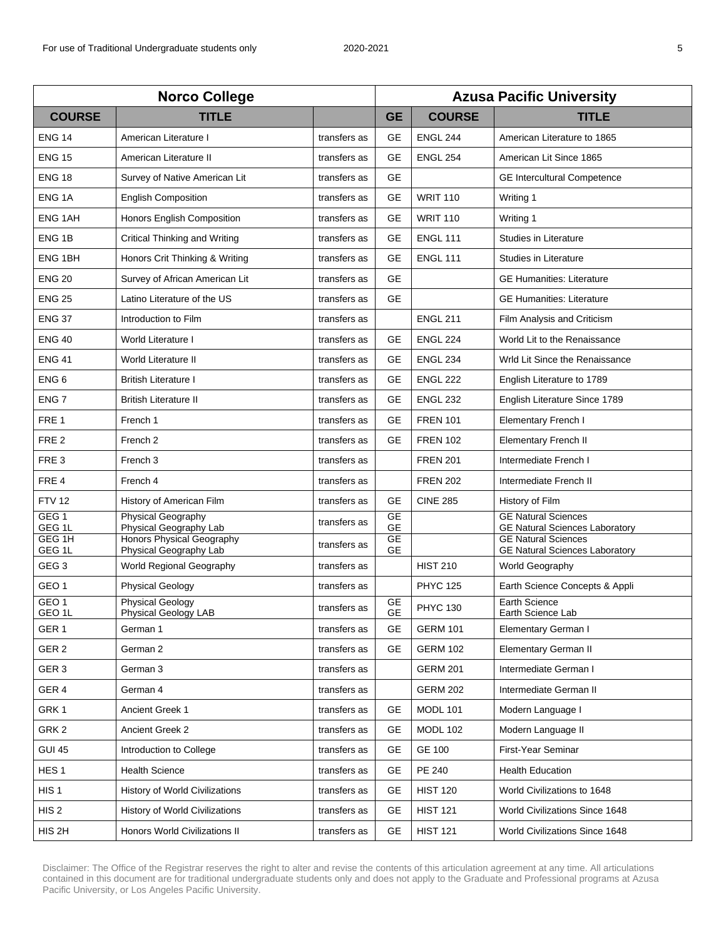| <b>Norco College</b>                   |                                                     |              | <b>Azusa Pacific University</b> |                 |                                                                     |  |
|----------------------------------------|-----------------------------------------------------|--------------|---------------------------------|-----------------|---------------------------------------------------------------------|--|
| <b>COURSE</b>                          | <b>TITLE</b>                                        |              | <b>GE</b>                       | <b>COURSE</b>   | <b>TITLE</b>                                                        |  |
| <b>ENG 14</b>                          | American Literature I                               | transfers as | GE                              | <b>ENGL 244</b> | American Literature to 1865                                         |  |
| <b>ENG 15</b>                          | American Literature II                              | transfers as | GE                              | <b>ENGL 254</b> | American Lit Since 1865                                             |  |
| <b>ENG 18</b>                          | Survey of Native American Lit                       | transfers as | <b>GE</b>                       |                 | <b>GE Intercultural Competence</b>                                  |  |
| ENG <sub>1A</sub>                      | <b>English Composition</b>                          | transfers as | <b>GE</b>                       | <b>WRIT 110</b> | Writing 1                                                           |  |
| <b>ENG 1AH</b>                         | Honors English Composition                          | transfers as | <b>GE</b>                       | <b>WRIT 110</b> | Writing 1                                                           |  |
| ENG <sub>1B</sub>                      | Critical Thinking and Writing                       | transfers as | <b>GE</b>                       | <b>ENGL 111</b> | Studies in Literature                                               |  |
| ENG <sub>1BH</sub>                     | Honors Crit Thinking & Writing                      | transfers as | <b>GE</b>                       | <b>ENGL 111</b> | Studies in Literature                                               |  |
| <b>ENG 20</b>                          | Survey of African American Lit                      | transfers as | <b>GE</b>                       |                 | <b>GE Humanities: Literature</b>                                    |  |
| <b>ENG 25</b>                          | Latino Literature of the US                         | transfers as | <b>GE</b>                       |                 | <b>GE Humanities: Literature</b>                                    |  |
| <b>ENG 37</b>                          | Introduction to Film                                | transfers as |                                 | <b>ENGL 211</b> | Film Analysis and Criticism                                         |  |
| <b>ENG 40</b>                          | World Literature I                                  | transfers as | <b>GE</b>                       | <b>ENGL 224</b> | World Lit to the Renaissance                                        |  |
| <b>ENG 41</b>                          | World Literature II                                 | transfers as | <b>GE</b>                       | <b>ENGL 234</b> | Wrld Lit Since the Renaissance                                      |  |
| ENG <sub>6</sub>                       | <b>British Literature I</b>                         | transfers as | <b>GE</b>                       | <b>ENGL 222</b> | English Literature to 1789                                          |  |
| ENG <sub>7</sub>                       | <b>British Literature II</b>                        | transfers as | <b>GE</b>                       | <b>ENGL 232</b> | English Literature Since 1789                                       |  |
| FRE <sub>1</sub>                       | French 1                                            | transfers as | <b>GE</b>                       | <b>FREN 101</b> | <b>Elementary French I</b>                                          |  |
| FRE <sub>2</sub>                       | French <sub>2</sub>                                 | transfers as | <b>GE</b>                       | <b>FREN 102</b> | <b>Elementary French II</b>                                         |  |
| FRE <sub>3</sub>                       | French 3                                            | transfers as |                                 | <b>FREN 201</b> | Intermediate French I                                               |  |
| FRE <sub>4</sub>                       | French 4                                            | transfers as |                                 | <b>FREN 202</b> | Intermediate French II                                              |  |
| <b>FTV 12</b>                          | History of American Film                            | transfers as | <b>GE</b>                       | <b>CINE 285</b> | History of Film                                                     |  |
| GEG <sub>1</sub><br>GEG 1L             | <b>Physical Geography</b><br>Physical Geography Lab | transfers as | <b>GE</b><br><b>GE</b>          |                 | <b>GE Natural Sciences</b><br><b>GE Natural Sciences Laboratory</b> |  |
| GEG 1H<br>GEG 1L                       | Honors Physical Geography<br>Physical Geography Lab | transfers as | <b>GE</b><br><b>GE</b>          |                 | <b>GE Natural Sciences</b><br><b>GE Natural Sciences Laboratory</b> |  |
| GEG <sub>3</sub>                       | World Regional Geography                            | transfers as |                                 | <b>HIST 210</b> | World Geography                                                     |  |
| GEO <sub>1</sub>                       | <b>Physical Geology</b>                             | transfers as |                                 | <b>PHYC 125</b> | Earth Science Concepts & Appli                                      |  |
| GEO <sub>1</sub><br>GEO <sub>1</sub> L | <b>Physical Geology</b>                             | transfers as | GE<br><b>GE</b>                 | <b>PHYC 130</b> | <b>Earth Science</b>                                                |  |
| GER <sub>1</sub>                       | Physical Geology LAB<br>German 1                    | transfers as | <b>GE</b>                       | <b>GERM 101</b> | Earth Science Lab<br>Elementary German I                            |  |
| GER <sub>2</sub>                       | German 2                                            | transfers as | GE                              | <b>GERM 102</b> | <b>Elementary German II</b>                                         |  |
| GER <sub>3</sub>                       | German 3                                            | transfers as |                                 | <b>GERM 201</b> | Intermediate German I                                               |  |
| GER 4                                  | German 4                                            | transfers as |                                 | <b>GERM 202</b> | Intermediate German II                                              |  |
| GRK1                                   | Ancient Greek 1                                     | transfers as | <b>GE</b>                       | <b>MODL 101</b> | Modern Language I                                                   |  |
| GRK <sub>2</sub>                       | Ancient Greek 2                                     | transfers as | GE                              | <b>MODL 102</b> | Modern Language II                                                  |  |
| <b>GUI 45</b>                          | Introduction to College                             | transfers as | <b>GE</b>                       | <b>GE 100</b>   | First-Year Seminar                                                  |  |
| HES <sub>1</sub>                       | <b>Health Science</b>                               | transfers as | <b>GE</b>                       | <b>PE 240</b>   | <b>Health Education</b>                                             |  |
| HIS <sub>1</sub>                       | History of World Civilizations                      | transfers as | GE                              | <b>HIST 120</b> | World Civilizations to 1648                                         |  |
| HIS <sub>2</sub>                       | <b>History of World Civilizations</b>               | transfers as | <b>GE</b>                       | <b>HIST 121</b> | World Civilizations Since 1648                                      |  |
| HIS <sub>2H</sub>                      | Honors World Civilizations II                       | transfers as | GE                              | <b>HIST 121</b> | World Civilizations Since 1648                                      |  |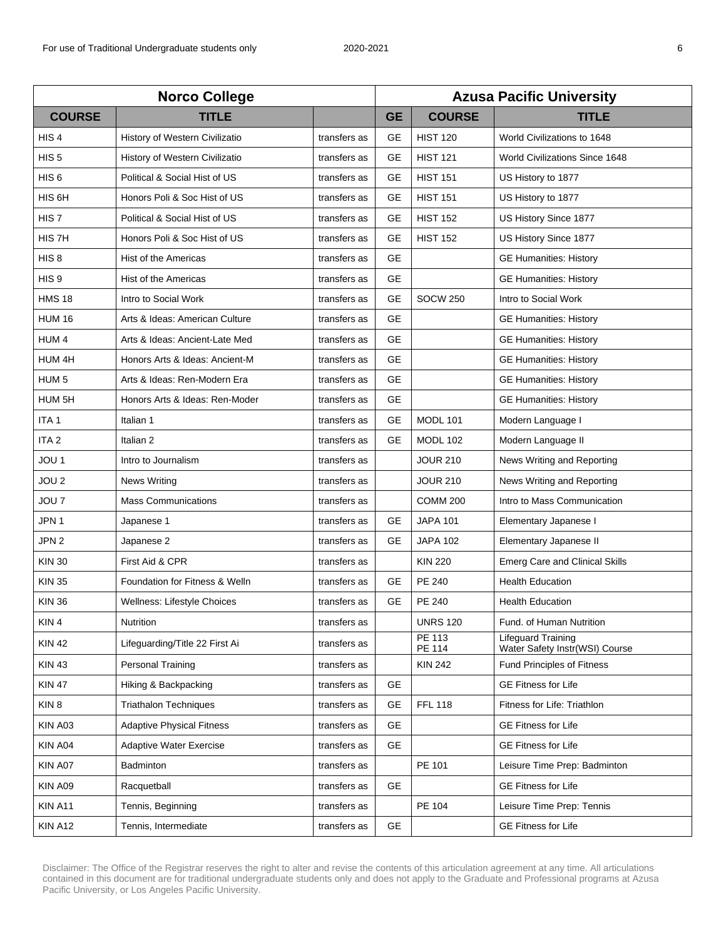| <b>Norco College</b> |                                  |              | <b>Azusa Pacific University</b> |                  |                                                             |  |
|----------------------|----------------------------------|--------------|---------------------------------|------------------|-------------------------------------------------------------|--|
| <b>COURSE</b>        | <b>TITLE</b>                     |              | <b>GE</b>                       | <b>COURSE</b>    | <b>TITLE</b>                                                |  |
| HIS <sub>4</sub>     | History of Western Civilizatio   | transfers as | <b>GE</b>                       | <b>HIST 120</b>  | World Civilizations to 1648                                 |  |
| HIS <sub>5</sub>     | History of Western Civilizatio   | transfers as | <b>GE</b>                       | <b>HIST 121</b>  | <b>World Civilizations Since 1648</b>                       |  |
| HIS <sub>6</sub>     | Political & Social Hist of US    | transfers as | <b>GE</b>                       | <b>HIST 151</b>  | US History to 1877                                          |  |
| HIS 6H               | Honors Poli & Soc Hist of US     | transfers as | <b>GE</b>                       | <b>HIST 151</b>  | US History to 1877                                          |  |
| HIS <sub>7</sub>     | Political & Social Hist of US    | transfers as | <b>GE</b>                       | <b>HIST 152</b>  | US History Since 1877                                       |  |
| HIS <sub>7</sub> H   | Honors Poli & Soc Hist of US     | transfers as | <b>GE</b>                       | <b>HIST 152</b>  | US History Since 1877                                       |  |
| HIS <sub>8</sub>     | Hist of the Americas             | transfers as | <b>GE</b>                       |                  | <b>GE Humanities: History</b>                               |  |
| HIS <sub>9</sub>     | Hist of the Americas             | transfers as | <b>GE</b>                       |                  | <b>GE Humanities: History</b>                               |  |
| <b>HMS 18</b>        | Intro to Social Work             | transfers as | <b>GE</b>                       | <b>SOCW 250</b>  | Intro to Social Work                                        |  |
| <b>HUM 16</b>        | Arts & Ideas: American Culture   | transfers as | <b>GE</b>                       |                  | <b>GE Humanities: History</b>                               |  |
| HUM <sub>4</sub>     | Arts & Ideas: Ancient-Late Med   | transfers as | <b>GE</b>                       |                  | <b>GE Humanities: History</b>                               |  |
| HUM 4H               | Honors Arts & Ideas: Ancient-M   | transfers as | <b>GE</b>                       |                  | <b>GE Humanities: History</b>                               |  |
| HUM <sub>5</sub>     | Arts & Ideas: Ren-Modern Era     | transfers as | <b>GE</b>                       |                  | <b>GE Humanities: History</b>                               |  |
| HUM <sub>5H</sub>    | Honors Arts & Ideas: Ren-Moder   | transfers as | <b>GE</b>                       |                  | <b>GE Humanities: History</b>                               |  |
| ITA <sub>1</sub>     | Italian 1                        | transfers as | GE                              | <b>MODL 101</b>  | Modern Language I                                           |  |
| ITA <sub>2</sub>     | Italian 2                        | transfers as | <b>GE</b>                       | <b>MODL 102</b>  | Modern Language II                                          |  |
| JOU 1                | Intro to Journalism              | transfers as |                                 | <b>JOUR 210</b>  | News Writing and Reporting                                  |  |
| JOU <sub>2</sub>     | <b>News Writing</b>              | transfers as |                                 | <b>JOUR 210</b>  | News Writing and Reporting                                  |  |
| JOU <sub>7</sub>     | <b>Mass Communications</b>       | transfers as |                                 | <b>COMM 200</b>  | Intro to Mass Communication                                 |  |
| JPN 1                | Japanese 1                       | transfers as | GE                              | <b>JAPA 101</b>  | Elementary Japanese I                                       |  |
| JPN <sub>2</sub>     | Japanese 2                       | transfers as | <b>GE</b>                       | <b>JAPA 102</b>  | Elementary Japanese II                                      |  |
| <b>KIN 30</b>        | First Aid & CPR                  | transfers as |                                 | <b>KIN 220</b>   | <b>Emerg Care and Clinical Skills</b>                       |  |
| <b>KIN 35</b>        | Foundation for Fitness & Welln   | transfers as | <b>GE</b>                       | PE 240           | <b>Health Education</b>                                     |  |
| <b>KIN 36</b>        | Wellness: Lifestyle Choices      | transfers as | <b>GE</b>                       | PE 240           | <b>Health Education</b>                                     |  |
| KIN 4                | Nutrition                        | transfers as |                                 | <b>UNRS 120</b>  | Fund. of Human Nutrition                                    |  |
| <b>KIN 42</b>        | Lifeguarding/Title 22 First Ai   | transfers as |                                 | PE 113<br>PE 114 | <b>Lifeguard Training</b><br>Water Safety Instr(WSI) Course |  |
| <b>KIN 43</b>        | Personal Training                | transfers as |                                 | <b>KIN 242</b>   | Fund Principles of Fitness                                  |  |
| <b>KIN 47</b>        | Hiking & Backpacking             | transfers as | GE                              |                  | <b>GE Fitness for Life</b>                                  |  |
| KIN <sub>8</sub>     | <b>Triathalon Techniques</b>     | transfers as | <b>GE</b>                       | <b>FFL 118</b>   | Fitness for Life: Triathlon                                 |  |
| KIN A03              | <b>Adaptive Physical Fitness</b> | transfers as | <b>GE</b>                       |                  | <b>GE Fitness for Life</b>                                  |  |
| KIN A04              | <b>Adaptive Water Exercise</b>   | transfers as | <b>GE</b>                       |                  | <b>GE Fitness for Life</b>                                  |  |
| KIN A07              | <b>Badminton</b>                 | transfers as |                                 | PE 101           | Leisure Time Prep: Badminton                                |  |
| KIN A09              | Racquetball                      | transfers as | <b>GE</b>                       |                  | <b>GE Fitness for Life</b>                                  |  |
| KIN A11              | Tennis, Beginning                | transfers as |                                 | PE 104           | Leisure Time Prep: Tennis                                   |  |
| KIN A12              | Tennis, Intermediate             | transfers as | <b>GE</b>                       |                  | <b>GE Fitness for Life</b>                                  |  |
|                      |                                  |              |                                 |                  |                                                             |  |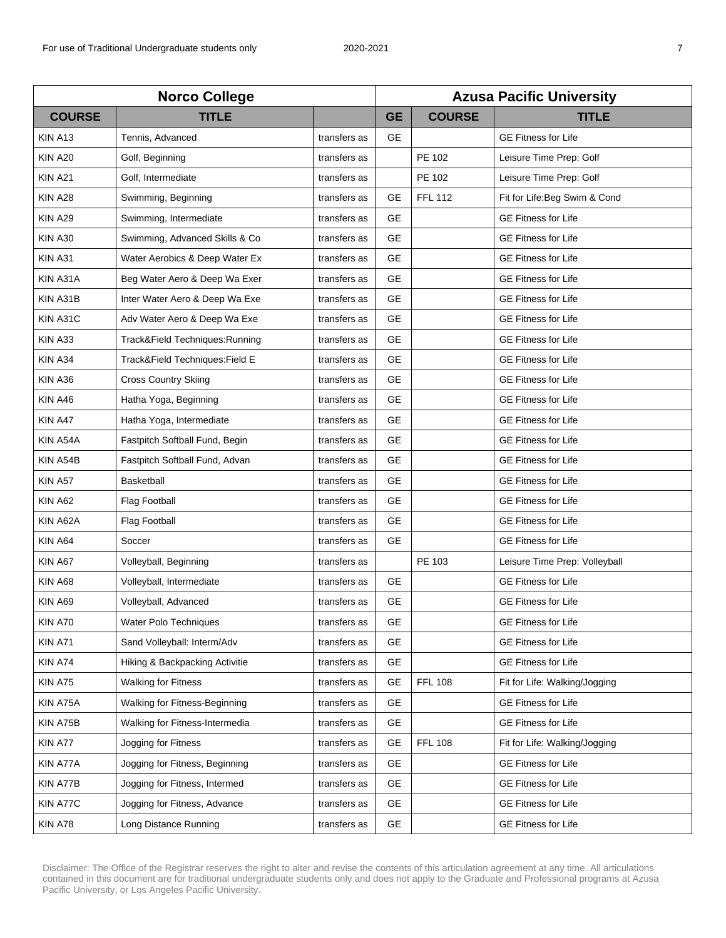| <b>Norco College</b> |                                |              | <b>Azusa Pacific University</b> |                |                               |  |
|----------------------|--------------------------------|--------------|---------------------------------|----------------|-------------------------------|--|
| <b>COURSE</b>        | <b>TITLE</b>                   |              | <b>GE</b>                       | <b>COURSE</b>  | <b>TITLE</b>                  |  |
| KIN A13              | Tennis, Advanced               | transfers as | <b>GE</b>                       |                | <b>GE Fitness for Life</b>    |  |
| <b>KIN A20</b>       | Golf, Beginning                | transfers as |                                 | PE 102         | Leisure Time Prep: Golf       |  |
| <b>KIN A21</b>       | Golf, Intermediate             | transfers as |                                 | PE 102         | Leisure Time Prep: Golf       |  |
| <b>KIN A28</b>       | Swimming, Beginning            | transfers as | <b>GE</b>                       | <b>FFL 112</b> | Fit for Life: Beg Swim & Cond |  |
| <b>KIN A29</b>       | Swimming, Intermediate         | transfers as | <b>GE</b>                       |                | <b>GE Fitness for Life</b>    |  |
| <b>KIN A30</b>       | Swimming, Advanced Skills & Co | transfers as | <b>GE</b>                       |                | <b>GE Fitness for Life</b>    |  |
| <b>KIN A31</b>       | Water Aerobics & Deep Water Ex | transfers as | <b>GE</b>                       |                | <b>GE Fitness for Life</b>    |  |
| KIN A31A             | Beg Water Aero & Deep Wa Exer  | transfers as | <b>GE</b>                       |                | <b>GE Fitness for Life</b>    |  |
| KIN A31B             | Inter Water Aero & Deep Wa Exe | transfers as | <b>GE</b>                       |                | <b>GE Fitness for Life</b>    |  |
| KIN A31C             | Adv Water Aero & Deep Wa Exe   | transfers as | <b>GE</b>                       |                | <b>GE Fitness for Life</b>    |  |
| KIN A33              | Track&Field Techniques:Running | transfers as | <b>GE</b>                       |                | <b>GE Fitness for Life</b>    |  |
| <b>KIN A34</b>       | Track&Field Techniques:Field E | transfers as | <b>GE</b>                       |                | <b>GE Fitness for Life</b>    |  |
| KIN A36              | <b>Cross Country Skiing</b>    | transfers as | <b>GE</b>                       |                | <b>GE Fitness for Life</b>    |  |
| KIN A46              | Hatha Yoga, Beginning          | transfers as | <b>GE</b>                       |                | <b>GE Fitness for Life</b>    |  |
| KIN A47              | Hatha Yoga, Intermediate       | transfers as | <b>GE</b>                       |                | <b>GE Fitness for Life</b>    |  |
| KIN A54A             | Fastpitch Softball Fund, Begin | transfers as | <b>GE</b>                       |                | <b>GE Fitness for Life</b>    |  |
| KIN A54B             | Fastpitch Softball Fund, Advan | transfers as | <b>GE</b>                       |                | <b>GE Fitness for Life</b>    |  |
| KIN A57              | Basketball                     | transfers as | <b>GE</b>                       |                | <b>GE Fitness for Life</b>    |  |
| KIN A62              | Flag Football                  | transfers as | <b>GE</b>                       |                | <b>GE Fitness for Life</b>    |  |
| KIN A62A             | Flag Football                  | transfers as | <b>GE</b>                       |                | <b>GE Fitness for Life</b>    |  |
| KIN A64              | Soccer                         | transfers as | <b>GE</b>                       |                | <b>GE Fitness for Life</b>    |  |
| KIN A67              | Volleyball, Beginning          | transfers as |                                 | PE 103         | Leisure Time Prep: Volleyball |  |
| KIN A68              | Volleyball, Intermediate       | transfers as | <b>GE</b>                       |                | <b>GE Fitness for Life</b>    |  |
| <b>KIN A69</b>       | Volleyball, Advanced           | transfers as | <b>GE</b>                       |                | <b>GE Fitness for Life</b>    |  |
| <b>KIN A70</b>       | Water Polo Techniques          | transfers as | <b>GE</b>                       |                | <b>GE Fitness for Life</b>    |  |
| KIN A71              | Sand Volleyball: Interm/Adv    | transfers as | <b>GE</b>                       |                | <b>GE Fitness for Life</b>    |  |
| KIN A74              | Hiking & Backpacking Activitie | transfers as | <b>GE</b>                       |                | <b>GE Fitness for Life</b>    |  |
| KIN A75              | <b>Walking for Fitness</b>     | transfers as | <b>GE</b>                       | <b>FFL 108</b> | Fit for Life: Walking/Jogging |  |
| KIN A75A             | Walking for Fitness-Beginning  | transfers as | <b>GE</b>                       |                | <b>GE Fitness for Life</b>    |  |
| KIN A75B             | Walking for Fitness-Intermedia | transfers as | <b>GE</b>                       |                | <b>GE Fitness for Life</b>    |  |
| KIN A77              | Jogging for Fitness            | transfers as | <b>GE</b>                       | <b>FFL 108</b> | Fit for Life: Walking/Jogging |  |
| KIN A77A             | Jogging for Fitness, Beginning | transfers as | GE                              |                | <b>GE Fitness for Life</b>    |  |
| KIN A77B             | Jogging for Fitness, Intermed  | transfers as | <b>GE</b>                       |                | <b>GE Fitness for Life</b>    |  |
| KIN A77C             | Jogging for Fitness, Advance   | transfers as | <b>GE</b>                       |                | <b>GE Fitness for Life</b>    |  |
| KIN A78              | Long Distance Running          | transfers as | GE                              |                | <b>GE Fitness for Life</b>    |  |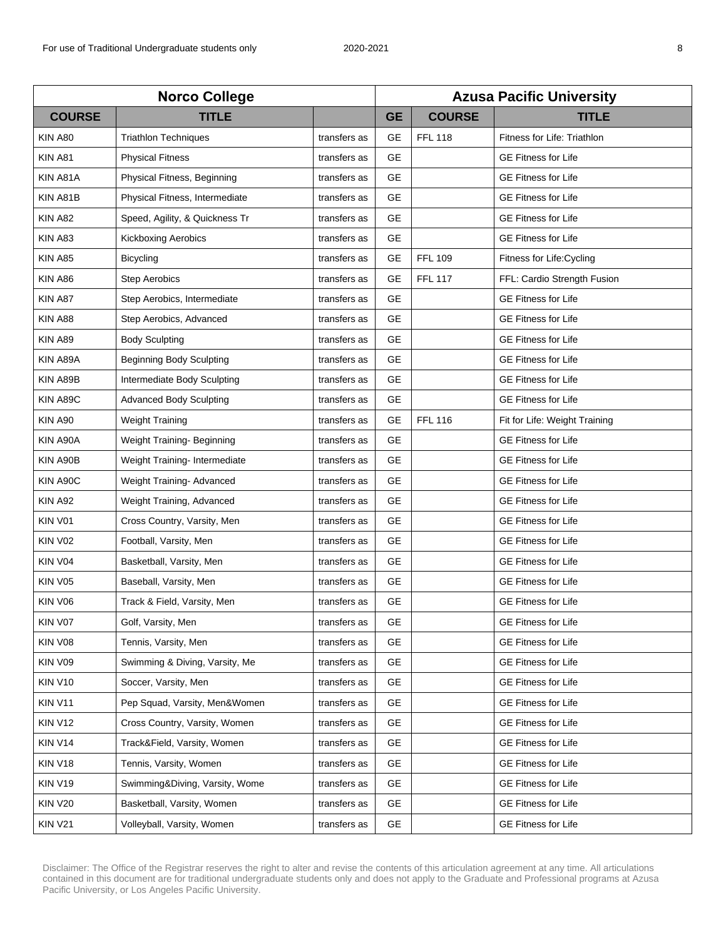| <b>Norco College</b> |                                |              | <b>Azusa Pacific University</b> |                |                               |  |
|----------------------|--------------------------------|--------------|---------------------------------|----------------|-------------------------------|--|
| <b>COURSE</b>        | <b>TITLE</b>                   |              | <b>GE</b>                       | <b>COURSE</b>  | <b>TITLE</b>                  |  |
| <b>KIN A80</b>       | <b>Triathlon Techniques</b>    | transfers as | <b>GE</b>                       | <b>FFL 118</b> | Fitness for Life: Triathlon   |  |
| KIN A81              | <b>Physical Fitness</b>        | transfers as | <b>GE</b>                       |                | <b>GE Fitness for Life</b>    |  |
| KIN A81A             | Physical Fitness, Beginning    | transfers as | <b>GE</b>                       |                | <b>GE Fitness for Life</b>    |  |
| KIN A81B             | Physical Fitness, Intermediate | transfers as | <b>GE</b>                       |                | <b>GE Fitness for Life</b>    |  |
| <b>KIN A82</b>       | Speed, Agility, & Quickness Tr | transfers as | <b>GE</b>                       |                | <b>GE Fitness for Life</b>    |  |
| KIN A83              | <b>Kickboxing Aerobics</b>     | transfers as | <b>GE</b>                       |                | <b>GE Fitness for Life</b>    |  |
| <b>KIN A85</b>       | <b>Bicycling</b>               | transfers as | <b>GE</b>                       | <b>FFL 109</b> | Fitness for Life: Cycling     |  |
| KIN A86              | <b>Step Aerobics</b>           | transfers as | <b>GE</b>                       | <b>FFL 117</b> | FFL: Cardio Strength Fusion   |  |
| KIN A87              | Step Aerobics, Intermediate    | transfers as | <b>GE</b>                       |                | <b>GE Fitness for Life</b>    |  |
| <b>KIN A88</b>       | Step Aerobics, Advanced        | transfers as | <b>GE</b>                       |                | <b>GE Fitness for Life</b>    |  |
| <b>KIN A89</b>       | <b>Body Sculpting</b>          | transfers as | GE                              |                | <b>GE Fitness for Life</b>    |  |
| KIN A89A             | Beginning Body Sculpting       | transfers as | GE                              |                | <b>GE Fitness for Life</b>    |  |
| KIN A89B             | Intermediate Body Sculpting    | transfers as | <b>GE</b>                       |                | <b>GE Fitness for Life</b>    |  |
| KIN A89C             | <b>Advanced Body Sculpting</b> | transfers as | <b>GE</b>                       |                | <b>GE Fitness for Life</b>    |  |
| <b>KIN A90</b>       | Weight Training                | transfers as | <b>GE</b>                       | <b>FFL 116</b> | Fit for Life: Weight Training |  |
| KIN A90A             | Weight Training- Beginning     | transfers as | <b>GE</b>                       |                | <b>GE Fitness for Life</b>    |  |
| KIN A90B             | Weight Training- Intermediate  | transfers as | <b>GE</b>                       |                | <b>GE Fitness for Life</b>    |  |
| KIN A90C             | Weight Training- Advanced      | transfers as | <b>GE</b>                       |                | <b>GE Fitness for Life</b>    |  |
| <b>KIN A92</b>       | Weight Training, Advanced      | transfers as | <b>GE</b>                       |                | <b>GE Fitness for Life</b>    |  |
| KIN V01              | Cross Country, Varsity, Men    | transfers as | <b>GE</b>                       |                | <b>GE Fitness for Life</b>    |  |
| <b>KIN V02</b>       | Football, Varsity, Men         | transfers as | <b>GE</b>                       |                | <b>GE Fitness for Life</b>    |  |
| KIN V04              | Basketball, Varsity, Men       | transfers as | <b>GE</b>                       |                | <b>GE Fitness for Life</b>    |  |
| <b>KIN V05</b>       | Baseball, Varsity, Men         | transfers as | <b>GE</b>                       |                | <b>GE Fitness for Life</b>    |  |
| <b>KIN V06</b>       | Track & Field, Varsity, Men    | transfers as | <b>GE</b>                       |                | <b>GE Fitness for Life</b>    |  |
| KIN V07              | Golf, Varsity, Men             | transfers as | GE                              |                | <b>GE Fitness for Life</b>    |  |
| <b>KIN V08</b>       | Tennis, Varsity, Men           | transfers as | <b>GE</b>                       |                | <b>GE Fitness for Life</b>    |  |
| KIN V09              | Swimming & Diving, Varsity, Me | transfers as | <b>GE</b>                       |                | <b>GE Fitness for Life</b>    |  |
| <b>KIN V10</b>       | Soccer, Varsity, Men           | transfers as | <b>GE</b>                       |                | <b>GE Fitness for Life</b>    |  |
| <b>KIN V11</b>       | Pep Squad, Varsity, Men&Women  | transfers as | <b>GE</b>                       |                | <b>GE Fitness for Life</b>    |  |
| <b>KIN V12</b>       | Cross Country, Varsity, Women  | transfers as | <b>GE</b>                       |                | <b>GE Fitness for Life</b>    |  |
| KIN V14              | Track&Field, Varsity, Women    | transfers as | GE                              |                | <b>GE Fitness for Life</b>    |  |
| <b>KIN V18</b>       | Tennis, Varsity, Women         | transfers as | GE                              |                | <b>GE Fitness for Life</b>    |  |
| <b>KIN V19</b>       | Swimming&Diving, Varsity, Wome | transfers as | <b>GE</b>                       |                | <b>GE Fitness for Life</b>    |  |
| <b>KIN V20</b>       | Basketball, Varsity, Women     | transfers as | <b>GE</b>                       |                | <b>GE Fitness for Life</b>    |  |
| <b>KIN V21</b>       | Volleyball, Varsity, Women     | transfers as | GE                              |                | <b>GE Fitness for Life</b>    |  |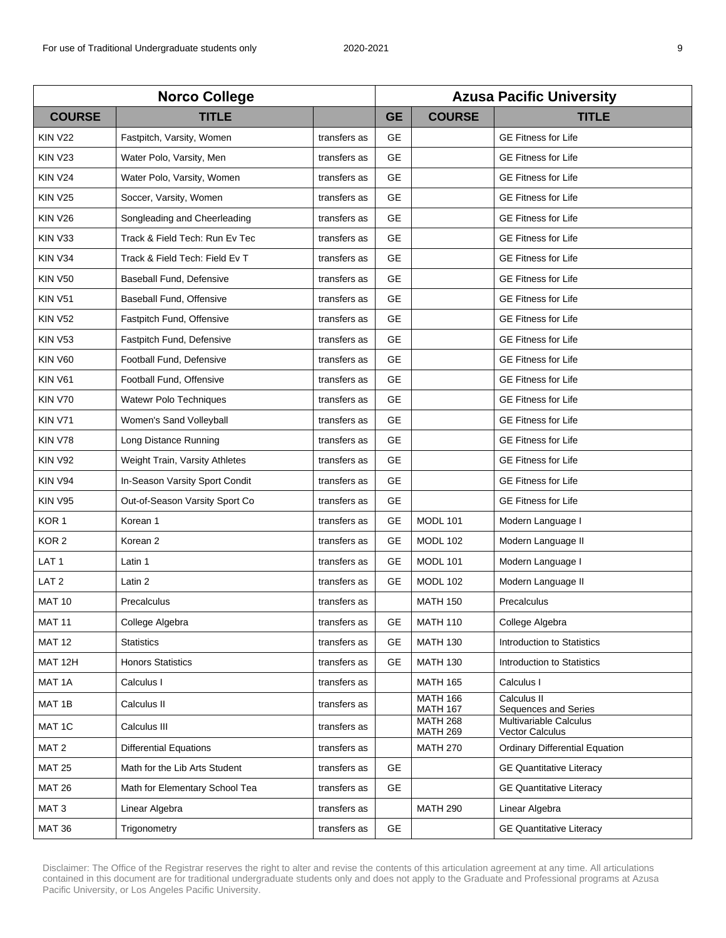| <b>Norco College</b> |                                |              | <b>Azusa Pacific University</b> |                                    |                                           |  |
|----------------------|--------------------------------|--------------|---------------------------------|------------------------------------|-------------------------------------------|--|
| <b>COURSE</b>        | <b>TITLE</b>                   |              | <b>GE</b>                       | <b>COURSE</b>                      | <b>TITLE</b>                              |  |
| <b>KIN V22</b>       | Fastpitch, Varsity, Women      | transfers as | <b>GE</b>                       |                                    | <b>GE Fitness for Life</b>                |  |
| <b>KIN V23</b>       | Water Polo, Varsity, Men       | transfers as | <b>GE</b>                       |                                    | <b>GE Fitness for Life</b>                |  |
| <b>KIN V24</b>       | Water Polo, Varsity, Women     | transfers as | <b>GE</b>                       |                                    | <b>GE Fitness for Life</b>                |  |
| <b>KIN V25</b>       | Soccer, Varsity, Women         | transfers as | <b>GE</b>                       |                                    | <b>GE Fitness for Life</b>                |  |
| <b>KIN V26</b>       | Songleading and Cheerleading   | transfers as | <b>GE</b>                       |                                    | <b>GE Fitness for Life</b>                |  |
| KIN V33              | Track & Field Tech: Run Ev Tec | transfers as | <b>GE</b>                       |                                    | <b>GE Fitness for Life</b>                |  |
| KIN V34              | Track & Field Tech: Field Ev T | transfers as | <b>GE</b>                       |                                    | <b>GE Fitness for Life</b>                |  |
| <b>KIN V50</b>       | Baseball Fund, Defensive       | transfers as | <b>GE</b>                       |                                    | <b>GE Fitness for Life</b>                |  |
| <b>KIN V51</b>       | Baseball Fund, Offensive       | transfers as | <b>GE</b>                       |                                    | <b>GE Fitness for Life</b>                |  |
| <b>KIN V52</b>       | Fastpitch Fund, Offensive      | transfers as | <b>GE</b>                       |                                    | <b>GE Fitness for Life</b>                |  |
| <b>KIN V53</b>       | Fastpitch Fund, Defensive      | transfers as | GE                              |                                    | <b>GE Fitness for Life</b>                |  |
| <b>KIN V60</b>       | Football Fund, Defensive       | transfers as | <b>GE</b>                       |                                    | <b>GE Fitness for Life</b>                |  |
| <b>KIN V61</b>       | Football Fund, Offensive       | transfers as | <b>GE</b>                       |                                    | <b>GE Fitness for Life</b>                |  |
| <b>KIN V70</b>       | <b>Watewr Polo Techniques</b>  | transfers as | <b>GE</b>                       |                                    | <b>GE Fitness for Life</b>                |  |
| <b>KIN V71</b>       | Women's Sand Volleyball        | transfers as | <b>GE</b>                       |                                    | <b>GE Fitness for Life</b>                |  |
| <b>KIN V78</b>       | Long Distance Running          | transfers as | <b>GE</b>                       |                                    | <b>GE Fitness for Life</b>                |  |
| <b>KIN V92</b>       | Weight Train, Varsity Athletes | transfers as | <b>GE</b>                       |                                    | <b>GE Fitness for Life</b>                |  |
| <b>KIN V94</b>       | In-Season Varsity Sport Condit | transfers as | <b>GE</b>                       |                                    | <b>GE Fitness for Life</b>                |  |
| <b>KIN V95</b>       | Out-of-Season Varsity Sport Co | transfers as | <b>GE</b>                       |                                    | <b>GE Fitness for Life</b>                |  |
| KOR <sub>1</sub>     | Korean 1                       | transfers as | GE                              | MODL 101                           | Modern Language I                         |  |
| KOR <sub>2</sub>     | Korean <sub>2</sub>            | transfers as | GE                              | <b>MODL 102</b>                    | Modern Language II                        |  |
| LAT <sub>1</sub>     | Latin 1                        | transfers as | <b>GE</b>                       | MODL 101                           | Modern Language I                         |  |
| LAT <sub>2</sub>     | Latin 2                        | transfers as | <b>GE</b>                       | <b>MODL 102</b>                    | Modern Language II                        |  |
| <b>MAT 10</b>        | Precalculus                    | transfers as |                                 | <b>MATH 150</b>                    | Precalculus                               |  |
| <b>MAT 11</b>        | College Algebra                | transfers as | GЕ                              | <b>MATH 110</b>                    | College Algebra                           |  |
| <b>MAT 12</b>        | <b>Statistics</b>              | transfers as | <b>GE</b>                       | <b>MATH 130</b>                    | Introduction to Statistics                |  |
| MAT 12H              | <b>Honors Statistics</b>       | transfers as | <b>GE</b>                       | <b>MATH 130</b>                    | Introduction to Statistics                |  |
| MAT 1A               | Calculus I                     | transfers as |                                 | <b>MATH 165</b>                    | Calculus I                                |  |
| MAT 1B               | Calculus II                    | transfers as |                                 | <b>MATH 166</b><br><b>MATH 167</b> | Calculus II<br>Sequences and Series       |  |
| MAT 1C               | Calculus III                   | transfers as |                                 | <b>MATH 268</b><br><b>MATH 269</b> | Multivariable Calculus<br>Vector Calculus |  |
| MAT <sub>2</sub>     | <b>Differential Equations</b>  | transfers as |                                 | <b>MATH 270</b>                    | <b>Ordinary Differential Equation</b>     |  |
| <b>MAT 25</b>        | Math for the Lib Arts Student  | transfers as | <b>GE</b>                       |                                    | <b>GE Quantitative Literacy</b>           |  |
| <b>MAT 26</b>        | Math for Elementary School Tea | transfers as | <b>GE</b>                       |                                    | <b>GE Quantitative Literacy</b>           |  |
| MAT <sub>3</sub>     | Linear Algebra                 | transfers as |                                 | <b>MATH 290</b>                    | Linear Algebra                            |  |
| <b>MAT 36</b>        | Trigonometry                   | transfers as | <b>GE</b>                       |                                    | <b>GE Quantitative Literacy</b>           |  |
|                      |                                |              |                                 |                                    |                                           |  |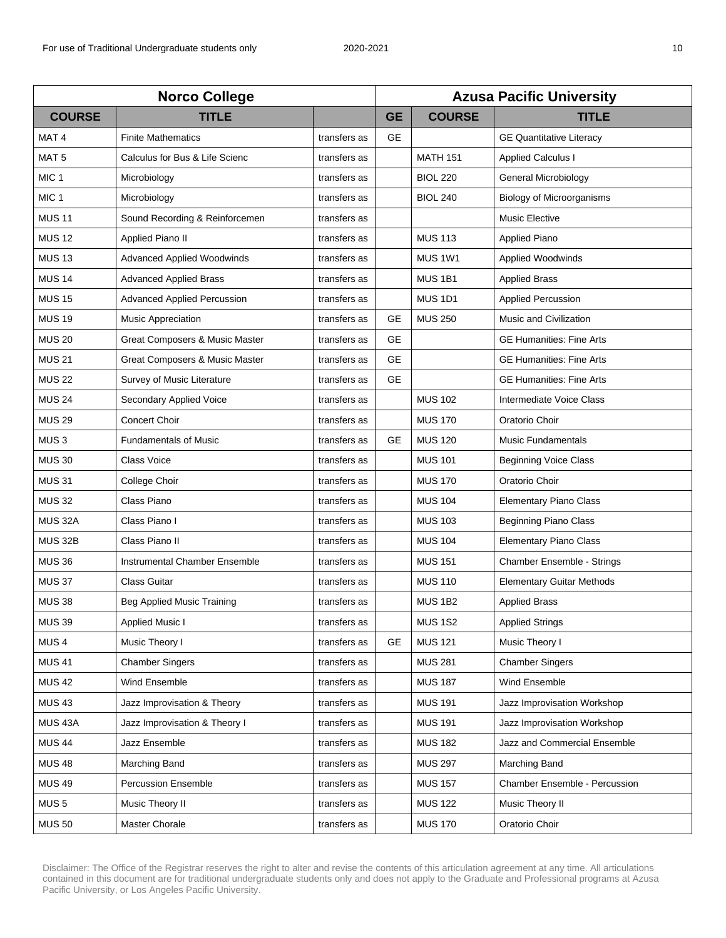| <b>Norco College</b> |                                   |              | <b>Azusa Pacific University</b> |                    |                                   |  |
|----------------------|-----------------------------------|--------------|---------------------------------|--------------------|-----------------------------------|--|
| <b>COURSE</b>        | <b>TITLE</b>                      |              | <b>GE</b>                       | <b>COURSE</b>      | <b>TITLE</b>                      |  |
| MAT <sub>4</sub>     | <b>Finite Mathematics</b>         | transfers as | <b>GE</b>                       |                    | <b>GE Quantitative Literacy</b>   |  |
| MAT <sub>5</sub>     | Calculus for Bus & Life Scienc    | transfers as |                                 | <b>MATH 151</b>    | <b>Applied Calculus I</b>         |  |
| MIC <sub>1</sub>     | Microbiology                      | transfers as |                                 | <b>BIOL 220</b>    | General Microbiology              |  |
| MIC <sub>1</sub>     | Microbiology                      | transfers as |                                 | <b>BIOL 240</b>    | Biology of Microorganisms         |  |
| <b>MUS 11</b>        | Sound Recording & Reinforcemen    | transfers as |                                 |                    | <b>Music Elective</b>             |  |
| <b>MUS 12</b>        | Applied Piano II                  | transfers as |                                 | <b>MUS 113</b>     | <b>Applied Piano</b>              |  |
| <b>MUS 13</b>        | <b>Advanced Applied Woodwinds</b> | transfers as |                                 | MUS 1W1            | Applied Woodwinds                 |  |
| <b>MUS 14</b>        | <b>Advanced Applied Brass</b>     | transfers as |                                 | MUS <sub>1B1</sub> | <b>Applied Brass</b>              |  |
| <b>MUS 15</b>        | Advanced Applied Percussion       | transfers as |                                 | <b>MUS 1D1</b>     | <b>Applied Percussion</b>         |  |
| <b>MUS 19</b>        | <b>Music Appreciation</b>         | transfers as | <b>GE</b>                       | <b>MUS 250</b>     | Music and Civilization            |  |
| <b>MUS 20</b>        | Great Composers & Music Master    | transfers as | <b>GE</b>                       |                    | <b>GE Humanities: Fine Arts</b>   |  |
| <b>MUS 21</b>        | Great Composers & Music Master    | transfers as | <b>GE</b>                       |                    | <b>GE Humanities: Fine Arts</b>   |  |
| <b>MUS 22</b>        | Survey of Music Literature        | transfers as | <b>GE</b>                       |                    | <b>GE Humanities: Fine Arts</b>   |  |
| <b>MUS 24</b>        | Secondary Applied Voice           | transfers as |                                 | <b>MUS 102</b>     | Intermediate Voice Class          |  |
| <b>MUS 29</b>        | Concert Choir                     | transfers as |                                 | <b>MUS 170</b>     | Oratorio Choir                    |  |
| MUS <sub>3</sub>     | <b>Fundamentals of Music</b>      | transfers as | <b>GE</b>                       | <b>MUS 120</b>     | <b>Music Fundamentals</b>         |  |
| <b>MUS 30</b>        | Class Voice                       | transfers as |                                 | <b>MUS 101</b>     | <b>Beginning Voice Class</b>      |  |
| <b>MUS 31</b>        | College Choir                     | transfers as |                                 | <b>MUS 170</b>     | Oratorio Choir                    |  |
| <b>MUS 32</b>        | Class Piano                       | transfers as |                                 | <b>MUS 104</b>     | <b>Elementary Piano Class</b>     |  |
| <b>MUS 32A</b>       | Class Piano I                     | transfers as |                                 | <b>MUS 103</b>     | Beginning Piano Class             |  |
| <b>MUS 32B</b>       | Class Piano II                    | transfers as |                                 | <b>MUS 104</b>     | <b>Elementary Piano Class</b>     |  |
| <b>MUS 36</b>        | Instrumental Chamber Ensemble     | transfers as |                                 | <b>MUS 151</b>     | <b>Chamber Ensemble - Strings</b> |  |
| <b>MUS 37</b>        | Class Guitar                      | transfers as |                                 | <b>MUS 110</b>     | <b>Elementary Guitar Methods</b>  |  |
| <b>MUS 38</b>        | Beg Applied Music Training        | transfers as |                                 | <b>MUS 1B2</b>     | <b>Applied Brass</b>              |  |
| <b>MUS 39</b>        | <b>Applied Music I</b>            | transfers as |                                 | <b>MUS 1S2</b>     | <b>Applied Strings</b>            |  |
| MUS <sub>4</sub>     | Music Theory I                    | transfers as | GE                              | <b>MUS 121</b>     | Music Theory I                    |  |
| <b>MUS 41</b>        | <b>Chamber Singers</b>            | transfers as |                                 | <b>MUS 281</b>     | <b>Chamber Singers</b>            |  |
| <b>MUS 42</b>        | Wind Ensemble                     | transfers as |                                 | <b>MUS 187</b>     | Wind Ensemble                     |  |
| <b>MUS 43</b>        | Jazz Improvisation & Theory       | transfers as |                                 | <b>MUS 191</b>     | Jazz Improvisation Workshop       |  |
| <b>MUS 43A</b>       | Jazz Improvisation & Theory I     | transfers as |                                 | <b>MUS 191</b>     | Jazz Improvisation Workshop       |  |
| <b>MUS 44</b>        | Jazz Ensemble                     | transfers as |                                 | <b>MUS 182</b>     | Jazz and Commercial Ensemble      |  |
| <b>MUS 48</b>        | Marching Band                     | transfers as |                                 | <b>MUS 297</b>     | Marching Band                     |  |
| <b>MUS 49</b>        | <b>Percussion Ensemble</b>        | transfers as |                                 | <b>MUS 157</b>     | Chamber Ensemble - Percussion     |  |
| MUS <sub>5</sub>     | Music Theory II                   | transfers as |                                 | <b>MUS 122</b>     | Music Theory II                   |  |
| <b>MUS 50</b>        | Master Chorale                    | transfers as |                                 | <b>MUS 170</b>     | Oratorio Choir                    |  |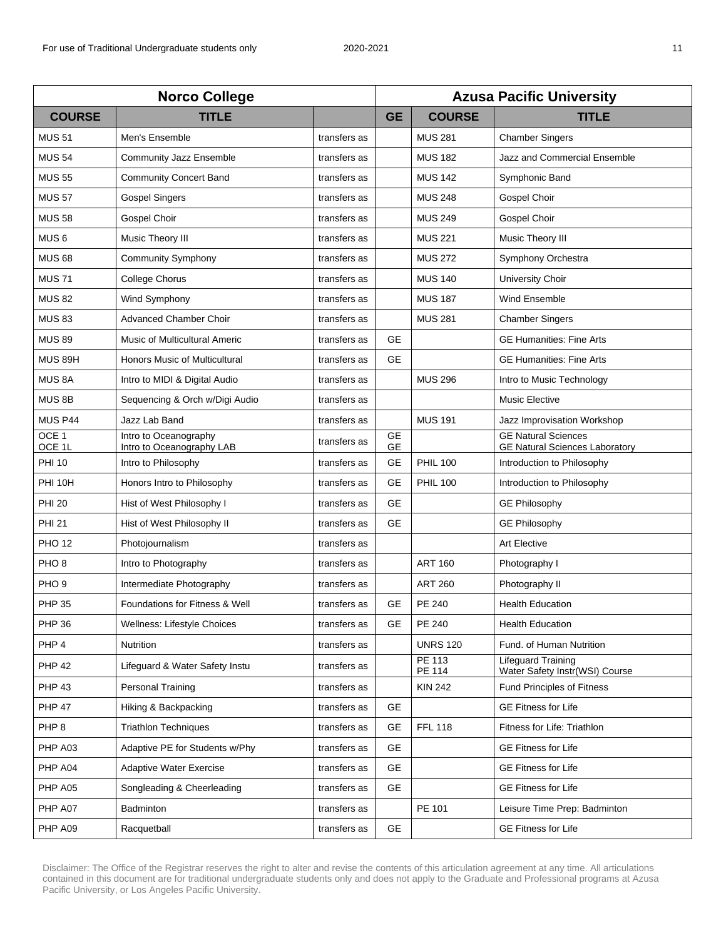| <b>Norco College</b>       |                                                    |              | <b>Azusa Pacific University</b> |                  |                                                                     |  |
|----------------------------|----------------------------------------------------|--------------|---------------------------------|------------------|---------------------------------------------------------------------|--|
| <b>COURSE</b>              | <b>TITLE</b>                                       |              | <b>GE</b>                       | <b>COURSE</b>    | <b>TITLE</b>                                                        |  |
| <b>MUS 51</b>              | Men's Ensemble                                     | transfers as |                                 | <b>MUS 281</b>   | <b>Chamber Singers</b>                                              |  |
| <b>MUS 54</b>              | <b>Community Jazz Ensemble</b>                     | transfers as |                                 | <b>MUS 182</b>   | Jazz and Commercial Ensemble                                        |  |
| <b>MUS 55</b>              | <b>Community Concert Band</b>                      | transfers as |                                 | <b>MUS 142</b>   | Symphonic Band                                                      |  |
| <b>MUS 57</b>              | <b>Gospel Singers</b>                              | transfers as |                                 | <b>MUS 248</b>   | Gospel Choir                                                        |  |
| <b>MUS 58</b>              | Gospel Choir                                       | transfers as |                                 | <b>MUS 249</b>   | Gospel Choir                                                        |  |
| MUS <sub>6</sub>           | Music Theory III                                   | transfers as |                                 | <b>MUS 221</b>   | Music Theory III                                                    |  |
| <b>MUS 68</b>              | <b>Community Symphony</b>                          | transfers as |                                 | <b>MUS 272</b>   | Symphony Orchestra                                                  |  |
| <b>MUS 71</b>              | <b>College Chorus</b>                              | transfers as |                                 | <b>MUS 140</b>   | <b>University Choir</b>                                             |  |
| <b>MUS 82</b>              | Wind Symphony                                      | transfers as |                                 | <b>MUS 187</b>   | Wind Ensemble                                                       |  |
| <b>MUS 83</b>              | <b>Advanced Chamber Choir</b>                      | transfers as |                                 | <b>MUS 281</b>   | <b>Chamber Singers</b>                                              |  |
| <b>MUS 89</b>              | <b>Music of Multicultural Americ</b>               | transfers as | <b>GE</b>                       |                  | <b>GE Humanities: Fine Arts</b>                                     |  |
| MUS 89H                    | Honors Music of Multicultural                      | transfers as | <b>GE</b>                       |                  | <b>GE Humanities: Fine Arts</b>                                     |  |
| MUS <sub>8A</sub>          | Intro to MIDI & Digital Audio                      | transfers as |                                 | <b>MUS 296</b>   | Intro to Music Technology                                           |  |
| MUS <sub>8B</sub>          | Sequencing & Orch w/Digi Audio                     | transfers as |                                 |                  | <b>Music Elective</b>                                               |  |
| MUS P44                    | Jazz Lab Band                                      | transfers as |                                 | <b>MUS 191</b>   | Jazz Improvisation Workshop                                         |  |
| OCE <sub>1</sub><br>OCE 1L | Intro to Oceanography<br>Intro to Oceanography LAB | transfers as | <b>GE</b><br><b>GE</b>          |                  | <b>GE Natural Sciences</b><br><b>GE Natural Sciences Laboratory</b> |  |
| <b>PHI 10</b>              | Intro to Philosophy                                | transfers as | <b>GE</b>                       | <b>PHIL 100</b>  | Introduction to Philosophy                                          |  |
| <b>PHI 10H</b>             | Honors Intro to Philosophy                         | transfers as | <b>GE</b>                       | <b>PHIL 100</b>  | Introduction to Philosophy                                          |  |
| <b>PHI 20</b>              | Hist of West Philosophy I                          | transfers as | <b>GE</b>                       |                  | <b>GE Philosophy</b>                                                |  |
| <b>PHI 21</b>              | Hist of West Philosophy II                         | transfers as | <b>GE</b>                       |                  | <b>GE Philosophy</b>                                                |  |
| <b>PHO 12</b>              | Photojournalism                                    | transfers as |                                 |                  | <b>Art Elective</b>                                                 |  |
| PHO <sub>8</sub>           | Intro to Photography                               | transfers as |                                 | <b>ART 160</b>   | Photography I                                                       |  |
| PHO <sub>9</sub>           | Intermediate Photography                           | transfers as |                                 | <b>ART 260</b>   | Photography II                                                      |  |
| <b>PHP 35</b>              | <b>Foundations for Fitness &amp; Well</b>          | transfers as | <b>GE</b>                       | <b>PE 240</b>    | <b>Health Education</b>                                             |  |
| <b>PHP 36</b>              | Wellness: Lifestyle Choices                        | transfers as | GE                              | PE 240           | <b>Health Education</b>                                             |  |
| PHP 4                      | Nutrition                                          | transfers as |                                 | <b>UNRS 120</b>  | Fund. of Human Nutrition                                            |  |
| <b>PHP 42</b>              | Lifeguard & Water Safety Instu                     | transfers as |                                 | PE 113<br>PE 114 | <b>Lifeguard Training</b><br>Water Safety Instr(WSI) Course         |  |
| <b>PHP 43</b>              | Personal Training                                  | transfers as |                                 | <b>KIN 242</b>   | <b>Fund Principles of Fitness</b>                                   |  |
| <b>PHP 47</b>              | Hiking & Backpacking                               | transfers as | <b>GE</b>                       |                  | <b>GE Fitness for Life</b>                                          |  |
| PHP <sub>8</sub>           | <b>Triathlon Techniques</b>                        | transfers as | GE                              | <b>FFL 118</b>   | Fitness for Life: Triathlon                                         |  |
| PHP A03                    | Adaptive PE for Students w/Phy                     | transfers as | GE.                             |                  | <b>GE Fitness for Life</b>                                          |  |
| PHP A04                    | Adaptive Water Exercise                            | transfers as | <b>GE</b>                       |                  | <b>GE Fitness for Life</b>                                          |  |
| PHP A05                    | Songleading & Cheerleading                         | transfers as | <b>GE</b>                       |                  | <b>GE Fitness for Life</b>                                          |  |
| PHP A07                    | Badminton                                          | transfers as |                                 | PE 101           | Leisure Time Prep: Badminton                                        |  |
| PHP A09                    | Racquetball                                        | transfers as | GE                              |                  | <b>GE Fitness for Life</b>                                          |  |
|                            |                                                    |              |                                 |                  |                                                                     |  |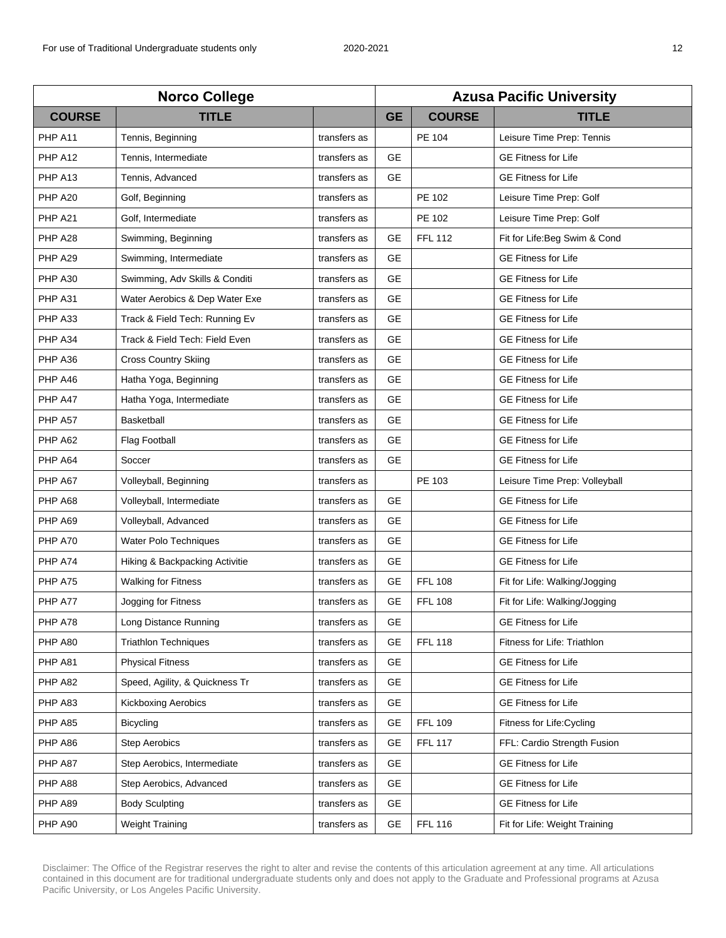| <b>Norco College</b> |                                |              | <b>Azusa Pacific University</b> |                |                               |  |
|----------------------|--------------------------------|--------------|---------------------------------|----------------|-------------------------------|--|
| <b>COURSE</b>        | <b>TITLE</b>                   |              | <b>GE</b>                       | <b>COURSE</b>  | <b>TITLE</b>                  |  |
| PHP A11              | Tennis, Beginning              | transfers as |                                 | PE 104         | Leisure Time Prep: Tennis     |  |
| PHP A12              | Tennis, Intermediate           | transfers as | <b>GE</b>                       |                | <b>GE Fitness for Life</b>    |  |
| PHP A13              | Tennis, Advanced               | transfers as | <b>GE</b>                       |                | <b>GE Fitness for Life</b>    |  |
| PHP A20              | Golf, Beginning                | transfers as |                                 | PE 102         | Leisure Time Prep: Golf       |  |
| PHP A21              | Golf, Intermediate             | transfers as |                                 | PE 102         | Leisure Time Prep: Golf       |  |
| PHP A28              | Swimming, Beginning            | transfers as | <b>GE</b>                       | <b>FFL 112</b> | Fit for Life: Beg Swim & Cond |  |
| PHP A29              | Swimming, Intermediate         | transfers as | <b>GE</b>                       |                | <b>GE Fitness for Life</b>    |  |
| PHP A30              | Swimming, Adv Skills & Conditi | transfers as | <b>GE</b>                       |                | <b>GE Fitness for Life</b>    |  |
| PHP A31              | Water Aerobics & Dep Water Exe | transfers as | <b>GE</b>                       |                | <b>GE Fitness for Life</b>    |  |
| PHP A33              | Track & Field Tech: Running Ev | transfers as | <b>GE</b>                       |                | <b>GE Fitness for Life</b>    |  |
| PHP A34              | Track & Field Tech: Field Even | transfers as | <b>GE</b>                       |                | <b>GE Fitness for Life</b>    |  |
| PHP A36              | <b>Cross Country Skiing</b>    | transfers as | <b>GE</b>                       |                | <b>GE Fitness for Life</b>    |  |
| PHP A46              | Hatha Yoga, Beginning          | transfers as | <b>GE</b>                       |                | <b>GE Fitness for Life</b>    |  |
| PHP A47              | Hatha Yoga, Intermediate       | transfers as | <b>GE</b>                       |                | <b>GE Fitness for Life</b>    |  |
| PHP A57              | Basketball                     | transfers as | <b>GE</b>                       |                | <b>GE Fitness for Life</b>    |  |
| PHP A62              | <b>Flag Football</b>           | transfers as | <b>GE</b>                       |                | <b>GE Fitness for Life</b>    |  |
| PHP A64              | Soccer                         | transfers as | <b>GE</b>                       |                | <b>GE Fitness for Life</b>    |  |
| PHP A67              | Volleyball, Beginning          | transfers as |                                 | PE 103         | Leisure Time Prep: Volleyball |  |
| PHP A68              | Volleyball, Intermediate       | transfers as | <b>GE</b>                       |                | <b>GE Fitness for Life</b>    |  |
| PHP A69              | Volleyball, Advanced           | transfers as | <b>GE</b>                       |                | <b>GE Fitness for Life</b>    |  |
| PHP A70              | Water Polo Techniques          | transfers as | <b>GE</b>                       |                | <b>GE Fitness for Life</b>    |  |
| PHP A74              | Hiking & Backpacking Activitie | transfers as | <b>GE</b>                       |                | <b>GE Fitness for Life</b>    |  |
| PHP A75              | <b>Walking for Fitness</b>     | transfers as | <b>GE</b>                       | <b>FFL 108</b> | Fit for Life: Walking/Jogging |  |
| PHP A77              | Jogging for Fitness            | transfers as | <b>GE</b>                       | <b>FFL 108</b> | Fit for Life: Walking/Jogging |  |
| PHP A78              | Long Distance Running          | transfers as | GE                              |                | <b>GE Fitness for Life</b>    |  |
| PHP A80              | <b>Triathlon Techniques</b>    | transfers as | <b>GE</b>                       | <b>FFL 118</b> | Fitness for Life: Triathlon   |  |
| PHP A81              | <b>Physical Fitness</b>        | transfers as | <b>GE</b>                       |                | <b>GE Fitness for Life</b>    |  |
| PHP A82              | Speed, Agility, & Quickness Tr | transfers as | <b>GE</b>                       |                | <b>GE Fitness for Life</b>    |  |
| PHP A83              | <b>Kickboxing Aerobics</b>     | transfers as | <b>GE</b>                       |                | <b>GE Fitness for Life</b>    |  |
| PHP A85              | <b>Bicycling</b>               | transfers as | <b>GE</b>                       | <b>FFL 109</b> | Fitness for Life: Cycling     |  |
| PHP A86              | <b>Step Aerobics</b>           | transfers as | GE                              | <b>FFL 117</b> | FFL: Cardio Strength Fusion   |  |
| PHP A87              | Step Aerobics, Intermediate    | transfers as | GE                              |                | <b>GE Fitness for Life</b>    |  |
| PHP A88              | Step Aerobics, Advanced        | transfers as | <b>GE</b>                       |                | <b>GE Fitness for Life</b>    |  |
| PHP A89              | <b>Body Sculpting</b>          | transfers as | GE.                             |                | <b>GE Fitness for Life</b>    |  |
| PHP A90              | <b>Weight Training</b>         | transfers as | <b>GE</b>                       | <b>FFL 116</b> | Fit for Life: Weight Training |  |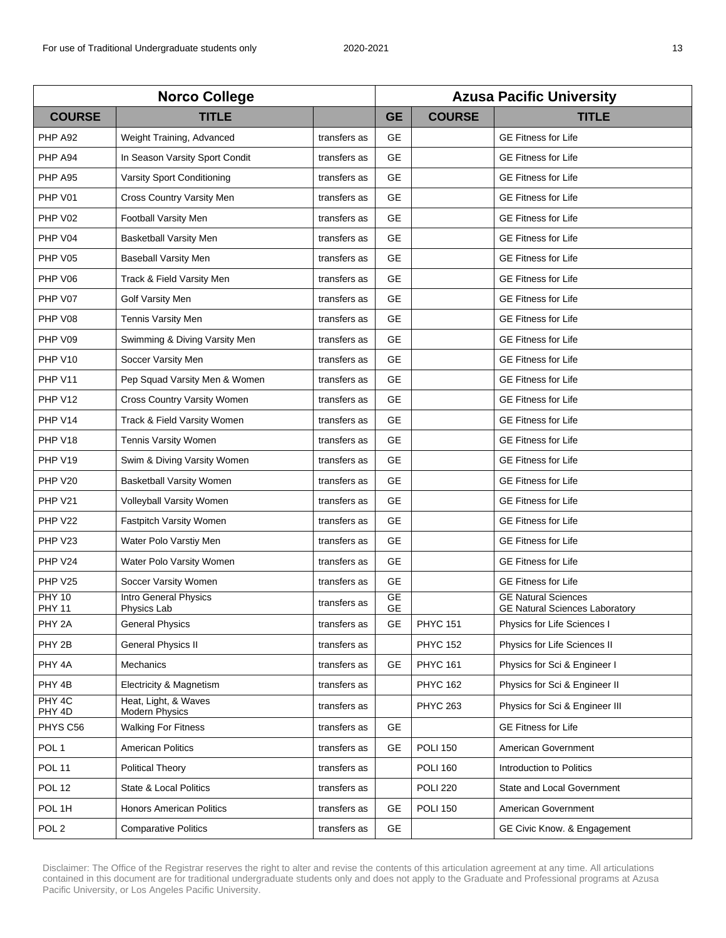| <b>Norco College</b>           |                                        |              | <b>Azusa Pacific University</b> |                 |                                                                     |  |
|--------------------------------|----------------------------------------|--------------|---------------------------------|-----------------|---------------------------------------------------------------------|--|
| <b>COURSE</b>                  | <b>TITLE</b>                           |              | <b>GE</b>                       | <b>COURSE</b>   | <b>TITLE</b>                                                        |  |
| PHP A92                        | Weight Training, Advanced              | transfers as | <b>GE</b>                       |                 | <b>GE Fitness for Life</b>                                          |  |
| PHP A94                        | In Season Varsity Sport Condit         | transfers as | <b>GE</b>                       |                 | <b>GE Fitness for Life</b>                                          |  |
| PHP A95                        | Varsity Sport Conditioning             | transfers as | <b>GE</b>                       |                 | <b>GE Fitness for Life</b>                                          |  |
| PHP V01                        | Cross Country Varsity Men              | transfers as | GE                              |                 | <b>GE Fitness for Life</b>                                          |  |
| PHP V02                        | Football Varsity Men                   | transfers as | <b>GE</b>                       |                 | <b>GE Fitness for Life</b>                                          |  |
| PHP V04                        | <b>Basketball Varsity Men</b>          | transfers as | <b>GE</b>                       |                 | <b>GE Fitness for Life</b>                                          |  |
| PHP V05                        | <b>Baseball Varsity Men</b>            | transfers as | <b>GE</b>                       |                 | <b>GE Fitness for Life</b>                                          |  |
| PHP V06                        | Track & Field Varsity Men              | transfers as | <b>GE</b>                       |                 | <b>GE Fitness for Life</b>                                          |  |
| PHP V07                        | Golf Varsity Men                       | transfers as | <b>GE</b>                       |                 | <b>GE Fitness for Life</b>                                          |  |
| PHP V08                        | <b>Tennis Varsity Men</b>              | transfers as | <b>GE</b>                       |                 | <b>GE Fitness for Life</b>                                          |  |
| PHP V09                        | Swimming & Diving Varsity Men          | transfers as | <b>GE</b>                       |                 | <b>GE Fitness for Life</b>                                          |  |
| PHP V10                        | Soccer Varsity Men                     | transfers as | <b>GE</b>                       |                 | <b>GE Fitness for Life</b>                                          |  |
| PHP V11                        | Pep Squad Varsity Men & Women          | transfers as | <b>GE</b>                       |                 | <b>GE Fitness for Life</b>                                          |  |
| PHP V <sub>12</sub>            | Cross Country Varsity Women            | transfers as | <b>GE</b>                       |                 | <b>GE Fitness for Life</b>                                          |  |
| PHP V14                        | Track & Field Varsity Women            | transfers as | <b>GE</b>                       |                 | <b>GE Fitness for Life</b>                                          |  |
| PHP V18                        | Tennis Varsity Women                   | transfers as | <b>GE</b>                       |                 | <b>GE Fitness for Life</b>                                          |  |
| PHP V19                        | Swim & Diving Varsity Women            | transfers as | <b>GE</b>                       |                 | <b>GE Fitness for Life</b>                                          |  |
| PHP V20                        | <b>Basketball Varsity Women</b>        | transfers as | <b>GE</b>                       |                 | <b>GE Fitness for Life</b>                                          |  |
| <b>PHP V21</b>                 | Volleyball Varsity Women               | transfers as | <b>GE</b>                       |                 | <b>GE Fitness for Life</b>                                          |  |
| PHP V22                        | Fastpitch Varsity Women                | transfers as | <b>GE</b>                       |                 | <b>GE Fitness for Life</b>                                          |  |
| PHP V23                        | Water Polo Varstiy Men                 | transfers as | <b>GE</b>                       |                 | <b>GE Fitness for Life</b>                                          |  |
| PHP V24                        | Water Polo Varsity Women               | transfers as | <b>GE</b>                       |                 | <b>GE Fitness for Life</b>                                          |  |
| PHP V25                        | Soccer Varsity Women                   | transfers as | GE                              |                 | <b>GE Fitness for Life</b>                                          |  |
| <b>PHY 10</b><br><b>PHY 11</b> | Intro General Physics<br>Physics Lab   | transfers as | GE<br>GE                        |                 | <b>GE Natural Sciences</b><br><b>GE Natural Sciences Laboratory</b> |  |
| PHY <sub>2A</sub>              | <b>General Physics</b>                 | transfers as | GE                              | <b>PHYC 151</b> | Physics for Life Sciences I                                         |  |
| PHY 2B                         | General Physics II                     | transfers as |                                 | <b>PHYC 152</b> | Physics for Life Sciences II                                        |  |
| PHY 4A                         | Mechanics                              | transfers as | GE                              | <b>PHYC 161</b> | Physics for Sci & Engineer I                                        |  |
| PHY 4B                         | Electricity & Magnetism                | transfers as |                                 | <b>PHYC 162</b> | Physics for Sci & Engineer II                                       |  |
| PHY 4C<br>PHY 4D               | Heat, Light, & Waves<br>Modern Physics | transfers as |                                 | <b>PHYC 263</b> | Physics for Sci & Engineer III                                      |  |
| PHYS C56                       | <b>Walking For Fitness</b>             | transfers as | <b>GE</b>                       |                 | <b>GE Fitness for Life</b>                                          |  |
| POL <sub>1</sub>               | <b>American Politics</b>               | transfers as | GE                              | <b>POLI 150</b> | American Government                                                 |  |
| <b>POL 11</b>                  | <b>Political Theory</b>                | transfers as |                                 | <b>POLI 160</b> | Introduction to Politics                                            |  |
| <b>POL 12</b>                  | <b>State &amp; Local Politics</b>      | transfers as |                                 | <b>POLI 220</b> | State and Local Government                                          |  |
| POL 1H                         | <b>Honors American Politics</b>        | transfers as | <b>GE</b>                       | <b>POLI 150</b> | American Government                                                 |  |
| POL <sub>2</sub>               | <b>Comparative Politics</b>            | transfers as | GE                              |                 | GE Civic Know. & Engagement                                         |  |
|                                |                                        |              |                                 |                 |                                                                     |  |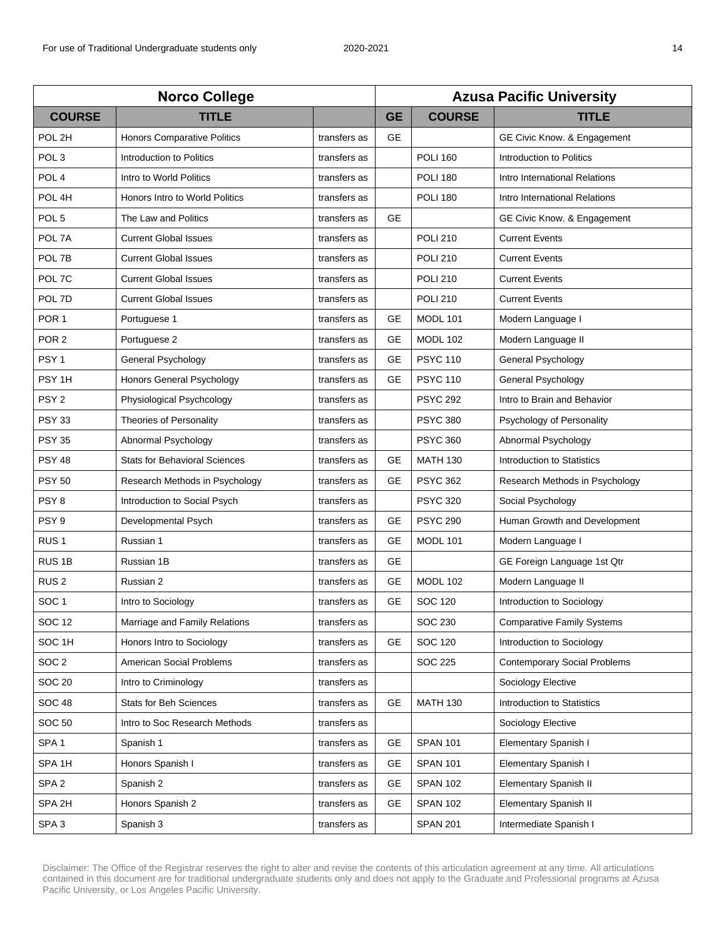| <b>Norco College</b> |                                       |              | <b>Azusa Pacific University</b> |                 |                                     |
|----------------------|---------------------------------------|--------------|---------------------------------|-----------------|-------------------------------------|
| <b>COURSE</b>        | <b>TITLE</b>                          |              | <b>GE</b>                       | <b>COURSE</b>   | <b>TITLE</b>                        |
| POL 2H               | <b>Honors Comparative Politics</b>    | transfers as | <b>GE</b>                       |                 | GE Civic Know. & Engagement         |
| POL <sub>3</sub>     | Introduction to Politics              | transfers as |                                 | <b>POLI 160</b> | Introduction to Politics            |
| POL <sub>4</sub>     | Intro to World Politics               | transfers as |                                 | <b>POLI 180</b> | Intro International Relations       |
| POL <sub>4H</sub>    | <b>Honors Intro to World Politics</b> | transfers as |                                 | <b>POLI 180</b> | Intro International Relations       |
| POL <sub>5</sub>     | The Law and Politics                  | transfers as | <b>GE</b>                       |                 | GE Civic Know. & Engagement         |
| POL 7A               | <b>Current Global Issues</b>          | transfers as |                                 | <b>POLI 210</b> | <b>Current Events</b>               |
| POL 7B               | <b>Current Global Issues</b>          | transfers as |                                 | <b>POLI 210</b> | <b>Current Events</b>               |
| POL 7C               | <b>Current Global Issues</b>          | transfers as |                                 | <b>POLI 210</b> | <b>Current Events</b>               |
| POL 7D               | <b>Current Global Issues</b>          | transfers as |                                 | <b>POLI 210</b> | <b>Current Events</b>               |
| POR <sub>1</sub>     | Portuguese 1                          | transfers as | <b>GE</b>                       | <b>MODL 101</b> | Modern Language I                   |
| POR <sub>2</sub>     | Portuguese 2                          | transfers as | <b>GE</b>                       | <b>MODL 102</b> | Modern Language II                  |
| PSY <sub>1</sub>     | General Psychology                    | transfers as | GE                              | <b>PSYC 110</b> | General Psychology                  |
| PSY <sub>1H</sub>    | Honors General Psychology             | transfers as | <b>GE</b>                       | <b>PSYC 110</b> | General Psychology                  |
| PSY <sub>2</sub>     | Physiological Psychcology             | transfers as |                                 | <b>PSYC 292</b> | Intro to Brain and Behavior         |
| <b>PSY 33</b>        | <b>Theories of Personality</b>        | transfers as |                                 | <b>PSYC 380</b> | Psychology of Personality           |
| <b>PSY 35</b>        | Abnormal Psychology                   | transfers as |                                 | <b>PSYC 360</b> | Abnormal Psychology                 |
| <b>PSY 48</b>        | <b>Stats for Behavioral Sciences</b>  | transfers as | <b>GE</b>                       | <b>MATH 130</b> | Introduction to Statistics          |
| <b>PSY 50</b>        | Research Methods in Psychology        | transfers as | <b>GE</b>                       | <b>PSYC 362</b> | Research Methods in Psychology      |
| PSY <sub>8</sub>     | Introduction to Social Psych          | transfers as |                                 | <b>PSYC 320</b> | Social Psychology                   |
| PSY <sub>9</sub>     | Developmental Psych                   | transfers as | <b>GE</b>                       | <b>PSYC 290</b> | Human Growth and Development        |
| RUS <sub>1</sub>     | Russian 1                             | transfers as | <b>GE</b>                       | MODL 101        | Modern Language I                   |
| RUS <sub>1B</sub>    | Russian 1B                            | transfers as | <b>GE</b>                       |                 | GE Foreign Language 1st Qtr         |
| RUS <sub>2</sub>     | Russian 2                             | transfers as | <b>GE</b>                       | <b>MODL 102</b> | Modern Language II                  |
| SOC <sub>1</sub>     | Intro to Sociology                    | transfers as | <b>GE</b>                       | <b>SOC 120</b>  | Introduction to Sociology           |
| <b>SOC 12</b>        | Marriage and Family Relations         | transfers as |                                 | SOC 230         | <b>Comparative Family Systems</b>   |
| SOC <sub>1H</sub>    | Honors Intro to Sociology             | transfers as | GE                              | SOC 120         | Introduction to Sociology           |
| SOC <sub>2</sub>     | American Social Problems              | transfers as |                                 | <b>SOC 225</b>  | <b>Contemporary Social Problems</b> |
| <b>SOC 20</b>        | Intro to Criminology                  | transfers as |                                 |                 | Sociology Elective                  |
| <b>SOC 48</b>        | <b>Stats for Beh Sciences</b>         | transfers as | <b>GE</b>                       | <b>MATH 130</b> | Introduction to Statistics          |
| <b>SOC 50</b>        | Intro to Soc Research Methods         | transfers as |                                 |                 | Sociology Elective                  |
| SPA <sub>1</sub>     | Spanish 1                             | transfers as | GE                              | <b>SPAN 101</b> | <b>Elementary Spanish I</b>         |
| SPA <sub>1H</sub>    | Honors Spanish I                      | transfers as | GE                              | <b>SPAN 101</b> | Elementary Spanish I                |
| SPA <sub>2</sub>     | Spanish 2                             | transfers as | GE                              | <b>SPAN 102</b> | <b>Elementary Spanish II</b>        |
| SPA 2H               | Honors Spanish 2                      | transfers as | GE                              | <b>SPAN 102</b> | <b>Elementary Spanish II</b>        |
| SPA <sub>3</sub>     | Spanish 3                             | transfers as |                                 | <b>SPAN 201</b> | Intermediate Spanish I              |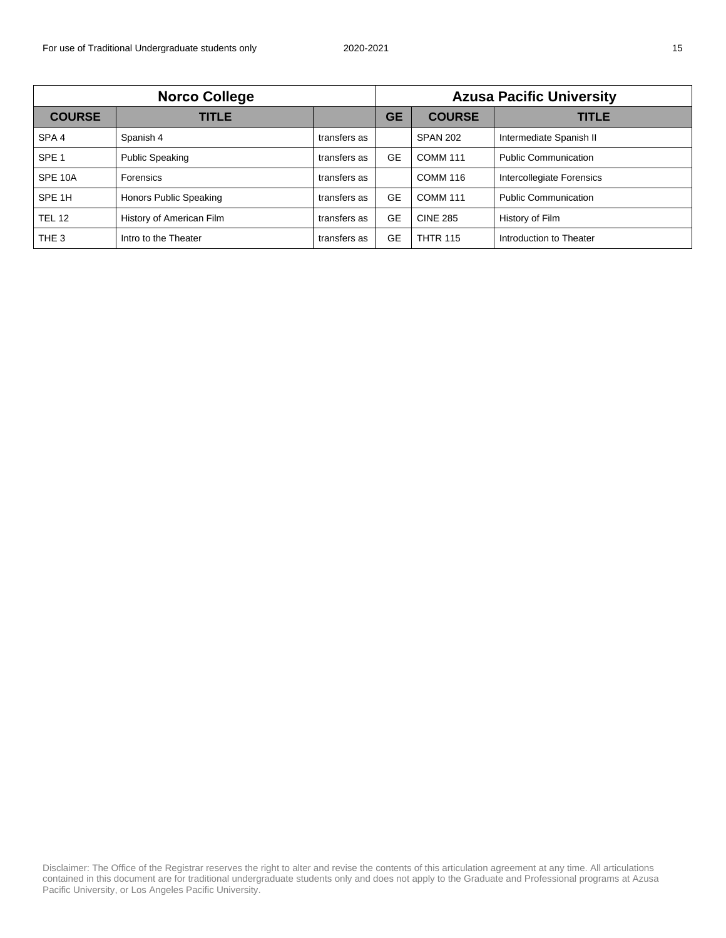| <b>Norco College</b> |                          |              | <b>Azusa Pacific University</b> |                 |                             |
|----------------------|--------------------------|--------------|---------------------------------|-----------------|-----------------------------|
| <b>COURSE</b>        | <b>TITLE</b>             |              | <b>GE</b>                       | <b>COURSE</b>   | TITLE                       |
| SPA <sub>4</sub>     | Spanish 4                | transfers as |                                 | <b>SPAN 202</b> | Intermediate Spanish II     |
| SPE <sub>1</sub>     | <b>Public Speaking</b>   | transfers as | <b>GE</b>                       | <b>COMM 111</b> | <b>Public Communication</b> |
| SPE 10A              | Forensics                | transfers as |                                 | <b>COMM 116</b> | Intercollegiate Forensics   |
| SPE 1H               | Honors Public Speaking   | transfers as | <b>GE</b>                       | <b>COMM 111</b> | <b>Public Communication</b> |
| <b>TEL 12</b>        | History of American Film | transfers as | <b>GE</b>                       | <b>CINE 285</b> | History of Film             |
| THE <sub>3</sub>     | Intro to the Theater     | transfers as | GE                              | <b>THTR 115</b> | Introduction to Theater     |